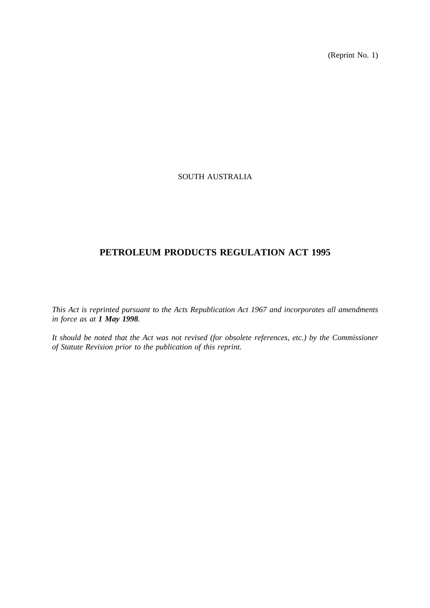(Reprint No. 1)

# SOUTH AUSTRALIA

# **PETROLEUM PRODUCTS REGULATION ACT 1995**

*This Act is reprinted pursuant to the Acts Republication Act 1967 and incorporates all amendments in force as at 1 May 1998.*

*It should be noted that the Act was not revised (for obsolete references, etc.) by the Commissioner of Statute Revision prior to the publication of this reprint.*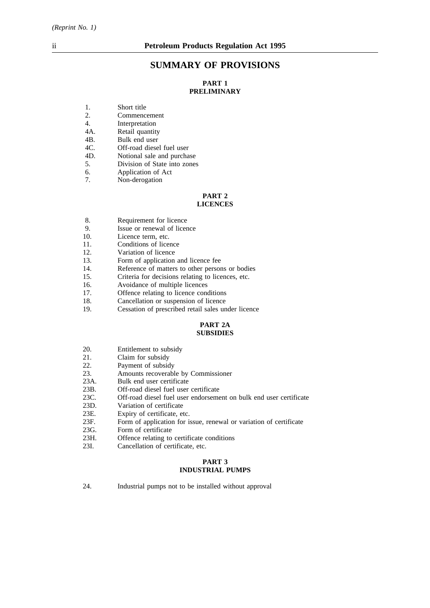# **SUMMARY OF PROVISIONS**

# **PART 1 PRELIMINARY**

- 1. Short title
- 2. Commencement
- 4. Interpretation
- 4A. Retail quantity
- 4B. Bulk end user
- 4C. Off-road diesel fuel user<br>4D. Notional sale and purcha
- Notional sale and purchase
- 5. Division of State into zones
- 6. Application of Act
- 7. Non-derogation

# **PART 2**

#### **LICENCES**

- 8. Requirement for licence
- 9. Issue or renewal of licence 10. Licence term. etc.
- Licence term, etc.
- 11. Conditions of licence
- 12. Variation of licence
- 13. Form of application and licence fee
- 14. Reference of matters to other persons or bodies<br>15. Criteria for decisions relating to licences, etc.
- 15. Criteria for decisions relating to licences, etc.<br>16. Avoidance of multiple licences
- 16. Avoidance of multiple licences<br>17. Offence relating to licence conc
- Offence relating to licence conditions
- 18. Cancellation or suspension of licence<br>19. Cessation of prescribed retail sales un
- Cessation of prescribed retail sales under licence

# **PART 2A SUBSIDIES**

- 20. Entitlement to subsidy<br>21. Claim for subsidy
- 21. Claim for subsidy<br>22. Payment of subsid
- Payment of subsidy
- 23. Amounts recoverable by Commissioner
- 23A. Bulk end user certificate
- 23B. Off-road diesel fuel user certificate
- 23C. Off-road diesel fuel user endorsement on bulk end user certificate
- 23D. Variation of certificate
- 23E. Expiry of certificate, etc.<br>23F. Form of application for is
- 23F. Form of application for issue, renewal or variation of certificate 23G. Form of certificate
- 23G. Form of certificate<br>23H. Offence relating to
- 23H. Offence relating to certificate conditions<br>23I. Cancellation of certificate, etc.
- Cancellation of certificate, etc.

#### **PART 3 INDUSTRIAL PUMPS**

24. Industrial pumps not to be installed without approval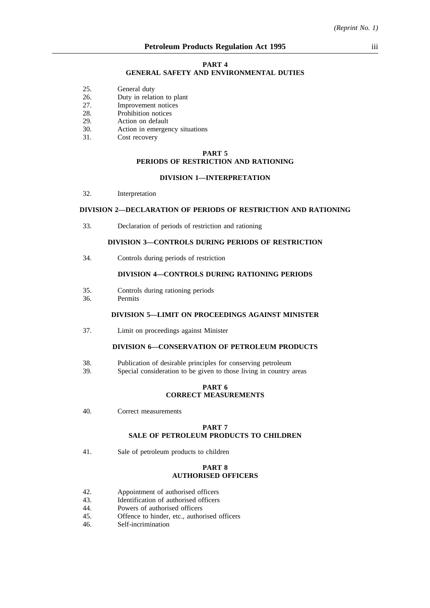#### **PART 4**

#### **GENERAL SAFETY AND ENVIRONMENTAL DUTIES**

- 25. General duty
- 26. Duty in relation to plant
- 27. Improvement notices
- 28. Prohibition notices
- 29. Action on default
- 30. Action in emergency situations
- 31. Cost recovery

### **PART 5 PERIODS OF RESTRICTION AND RATIONING**

# **DIVISION 1—INTERPRETATION**

32. Interpretation

# **DIVISION 2—DECLARATION OF PERIODS OF RESTRICTION AND RATIONING**

33. Declaration of periods of restriction and rationing

# **DIVISION 3—CONTROLS DURING PERIODS OF RESTRICTION**

34. Controls during periods of restriction

# **DIVISION 4—CONTROLS DURING RATIONING PERIODS**

- 35. Controls during rationing periods
- 36. Permits

## **DIVISION 5—LIMIT ON PROCEEDINGS AGAINST MINISTER**

37. Limit on proceedings against Minister

#### **DIVISION 6—CONSERVATION OF PETROLEUM PRODUCTS**

- 38. Publication of desirable principles for conserving petroleum
- 39. Special consideration to be given to those living in country areas

#### **PART 6 CORRECT MEASUREMENTS**

40. Correct measurements

#### **PART 7 SALE OF PETROLEUM PRODUCTS TO CHILDREN**

41. Sale of petroleum products to children

#### **PART 8 AUTHORISED OFFICERS**

- 42. Appointment of authorised officers
- 43. Identification of authorised officers
- 44. Powers of authorised officers
- 45. Offence to hinder, etc., authorised officers
- 46. Self-incrimination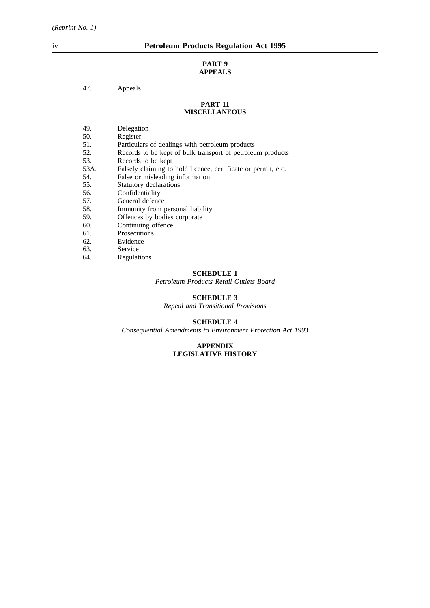#### **PART 9 APPEALS**

# 47. Appeals

#### **PART 11 MISCELLANEOUS**

- 49. Delegation
- 50. Register<br>51. Particula
- 51. Particulars of dealings with petroleum products<br>52. Records to be kept of bulk transport of petroleum
- 52. Records to be kept of bulk transport of petroleum products<br>53. Records to be kept
- 53. Records to be kept<br>53A. Falsely claiming to
- Falsely claiming to hold licence, certificate or permit, etc.
- 54. False or misleading information
- 55. Statutory declarations
- 
- 56. Confidentiality<br>57. General defence 57. General defence<br>58. Immunity from t
- 58. Immunity from personal liability<br>59. Offences by bodies corporate
- 59. Offences by bodies corporate 60.
- 60. Continuing offence<br>61. Prosecutions
- 61. Prosecutions<br>62. Evidence
- Evidence
- 63. Service
- 64. Regulations

# **SCHEDULE 1**

*Petroleum Products Retail Outlets Board*

# **SCHEDULE 3**

*Repeal and Transitional Provisions*

#### **SCHEDULE 4**

*Consequential Amendments to Environment Protection Act 1993*

#### **APPENDIX LEGISLATIVE HISTORY**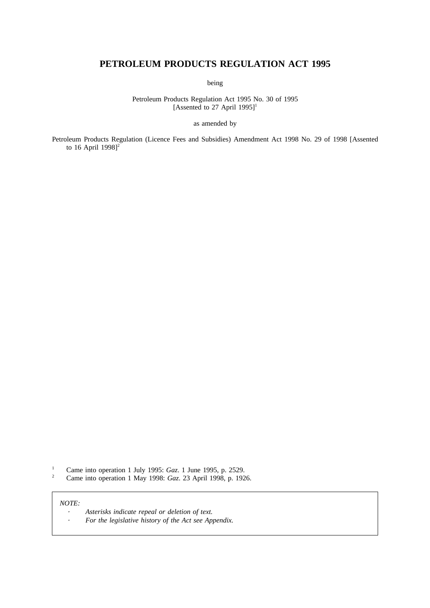# **PETROLEUM PRODUCTS REGULATION ACT 1995**

being

Petroleum Products Regulation Act 1995 No. 30 of 1995 [Assented to 27 April 1995]<sup>1</sup>

as amended by

Petroleum Products Regulation (Licence Fees and Subsidies) Amendment Act 1998 No. 29 of 1998 [Assented to 16 April 1998] $2^2$ 

<sup>1</sup> Came into operation 1 July 1995: *Gaz*. 1 June 1995, p. 2529.<br><sup>2</sup> Came into operation 1 May 1998: *Gaz* 23 April 1998, p. 192

<sup>2</sup> Came into operation 1 May 1998: *Gaz*. 23 April 1998, p. 1926.

*NOTE:*

| Asterisks indicate repeal or deletion of text.       |
|------------------------------------------------------|
| For the legislative history of the Act see Appendix. |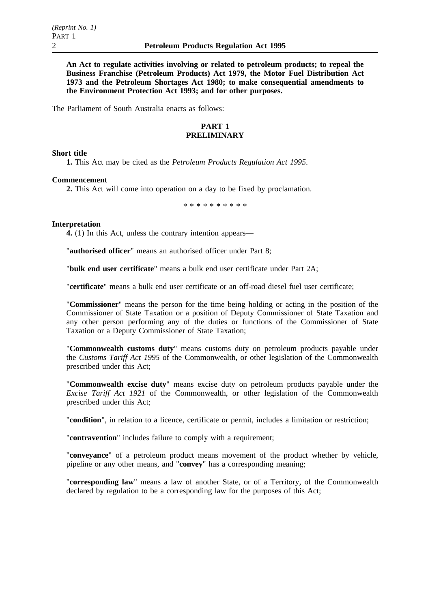**An Act to regulate activities involving or related to petroleum products; to repeal the Business Franchise (Petroleum Products) Act 1979, the Motor Fuel Distribution Act 1973 and the Petroleum Shortages Act 1980; to make consequential amendments to the Environment Protection Act 1993; and for other purposes.**

The Parliament of South Australia enacts as follows:

# **PART 1 PRELIMINARY**

### **Short title**

**1.** This Act may be cited as the *Petroleum Products Regulation Act 1995*.

### **Commencement**

**2.** This Act will come into operation on a day to be fixed by proclamation.

\*\*\*\*\*\*\*\*\*\*

### **Interpretation**

**4.** (1) In this Act, unless the contrary intention appears—

"**authorised officer**" means an authorised officer under Part 8;

"**bulk end user certificate**" means a bulk end user certificate under Part 2A;

"**certificate**" means a bulk end user certificate or an off-road diesel fuel user certificate;

"**Commissioner**" means the person for the time being holding or acting in the position of the Commissioner of State Taxation or a position of Deputy Commissioner of State Taxation and any other person performing any of the duties or functions of the Commissioner of State Taxation or a Deputy Commissioner of State Taxation;

"**Commonwealth customs duty**" means customs duty on petroleum products payable under the *Customs Tariff Act 1995* of the Commonwealth, or other legislation of the Commonwealth prescribed under this Act;

"**Commonwealth excise duty**" means excise duty on petroleum products payable under the *Excise Tariff Act 1921* of the Commonwealth, or other legislation of the Commonwealth prescribed under this Act;

"**condition**", in relation to a licence, certificate or permit, includes a limitation or restriction;

"**contravention**" includes failure to comply with a requirement;

"**conveyance**" of a petroleum product means movement of the product whether by vehicle, pipeline or any other means, and "**convey**" has a corresponding meaning;

"**corresponding law**" means a law of another State, or of a Territory, of the Commonwealth declared by regulation to be a corresponding law for the purposes of this Act;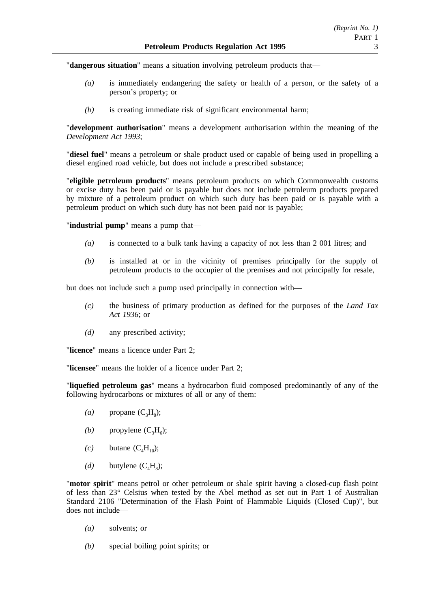"**dangerous situation**" means a situation involving petroleum products that—

- *(a)* is immediately endangering the safety or health of a person, or the safety of a person's property; or
- *(b)* is creating immediate risk of significant environmental harm;

"**development authorisation**" means a development authorisation within the meaning of the *Development Act 1993*;

"**diesel fuel**" means a petroleum or shale product used or capable of being used in propelling a diesel engined road vehicle, but does not include a prescribed substance;

"**eligible petroleum products**" means petroleum products on which Commonwealth customs or excise duty has been paid or is payable but does not include petroleum products prepared by mixture of a petroleum product on which such duty has been paid or is payable with a petroleum product on which such duty has not been paid nor is payable;

"**industrial pump**" means a pump that—

- *(a)* is connected to a bulk tank having a capacity of not less than 2 001 litres; and
- *(b)* is installed at or in the vicinity of premises principally for the supply of petroleum products to the occupier of the premises and not principally for resale,

but does not include such a pump used principally in connection with—

- *(c)* the business of primary production as defined for the purposes of the *Land Tax Act 1936*; or
- *(d)* any prescribed activity;

"**licence**" means a licence under Part 2;

"**licensee**" means the holder of a licence under Part 2;

"**liquefied petroleum gas**" means a hydrocarbon fluid composed predominantly of any of the following hydrocarbons or mixtures of all or any of them:

- $(a)$  propane  $(C_3H_8)$ ;
- *(b)* propylene  $(C_3H_6)$ ;
- $(c)$  butane  $(C<sub>4</sub>H<sub>10</sub>)$ ;
- $(d)$  butylene  $(C_4H_8)$ ;

"**motor spirit**" means petrol or other petroleum or shale spirit having a closed-cup flash point of less than 23° Celsius when tested by the Abel method as set out in Part 1 of Australian Standard 2106 "Determination of the Flash Point of Flammable Liquids (Closed Cup)", but does not include—

- *(a)* solvents; or
- *(b)* special boiling point spirits; or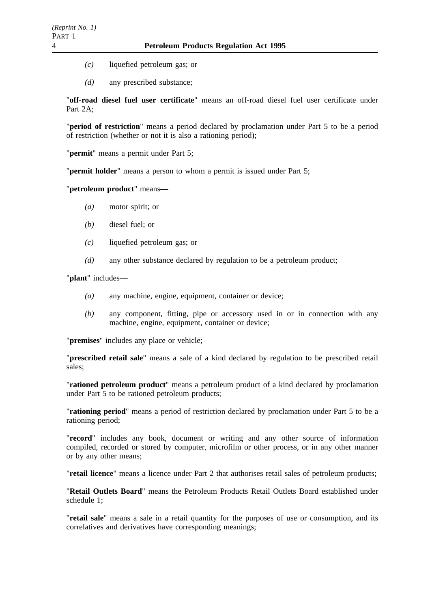- *(c)* liquefied petroleum gas; or
- *(d)* any prescribed substance;

"**off-road diesel fuel user certificate**" means an off-road diesel fuel user certificate under Part 2A;

"**period of restriction**" means a period declared by proclamation under Part 5 to be a period of restriction (whether or not it is also a rationing period);

"**permit**" means a permit under Part 5;

"**permit holder**" means a person to whom a permit is issued under Part 5;

# "**petroleum product**" means—

- *(a)* motor spirit; or
- *(b)* diesel fuel; or
- *(c)* liquefied petroleum gas; or
- *(d)* any other substance declared by regulation to be a petroleum product;

"**plant**" includes—

- *(a)* any machine, engine, equipment, container or device;
- *(b)* any component, fitting, pipe or accessory used in or in connection with any machine, engine, equipment, container or device;

"**premises**" includes any place or vehicle;

"**prescribed retail sale**" means a sale of a kind declared by regulation to be prescribed retail sales;

"**rationed petroleum product**" means a petroleum product of a kind declared by proclamation under Part 5 to be rationed petroleum products;

"**rationing period**" means a period of restriction declared by proclamation under Part 5 to be a rationing period;

"**record**" includes any book, document or writing and any other source of information compiled, recorded or stored by computer, microfilm or other process, or in any other manner or by any other means;

"**retail licence**" means a licence under Part 2 that authorises retail sales of petroleum products;

"**Retail Outlets Board**" means the Petroleum Products Retail Outlets Board established under schedule 1;

"**retail sale**" means a sale in a retail quantity for the purposes of use or consumption, and its correlatives and derivatives have corresponding meanings;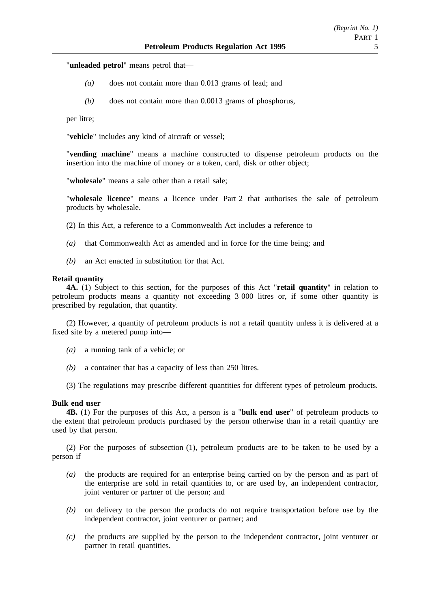"**unleaded petrol**" means petrol that—

- *(a)* does not contain more than 0.013 grams of lead; and
- *(b)* does not contain more than 0.0013 grams of phosphorus,

per litre;

"**vehicle**" includes any kind of aircraft or vessel;

"**vending machine**" means a machine constructed to dispense petroleum products on the insertion into the machine of money or a token, card, disk or other object;

"**wholesale**" means a sale other than a retail sale;

"**wholesale licence**" means a licence under Part 2 that authorises the sale of petroleum products by wholesale.

(2) In this Act, a reference to a Commonwealth Act includes a reference to—

- *(a)* that Commonwealth Act as amended and in force for the time being; and
- *(b)* an Act enacted in substitution for that Act.

#### **Retail quantity**

**4A.** (1) Subject to this section, for the purposes of this Act "**retail quantity**" in relation to petroleum products means a quantity not exceeding 3 000 litres or, if some other quantity is prescribed by regulation, that quantity.

(2) However, a quantity of petroleum products is not a retail quantity unless it is delivered at a fixed site by a metered pump into—

- *(a)* a running tank of a vehicle; or
- *(b)* a container that has a capacity of less than 250 litres.
- (3) The regulations may prescribe different quantities for different types of petroleum products.

#### **Bulk end user**

**4B.** (1) For the purposes of this Act, a person is a "**bulk end user**" of petroleum products to the extent that petroleum products purchased by the person otherwise than in a retail quantity are used by that person.

(2) For the purposes of subsection (1), petroleum products are to be taken to be used by a person if—

- *(a)* the products are required for an enterprise being carried on by the person and as part of the enterprise are sold in retail quantities to, or are used by, an independent contractor, joint venturer or partner of the person; and
- *(b)* on delivery to the person the products do not require transportation before use by the independent contractor, joint venturer or partner; and
- *(c)* the products are supplied by the person to the independent contractor, joint venturer or partner in retail quantities.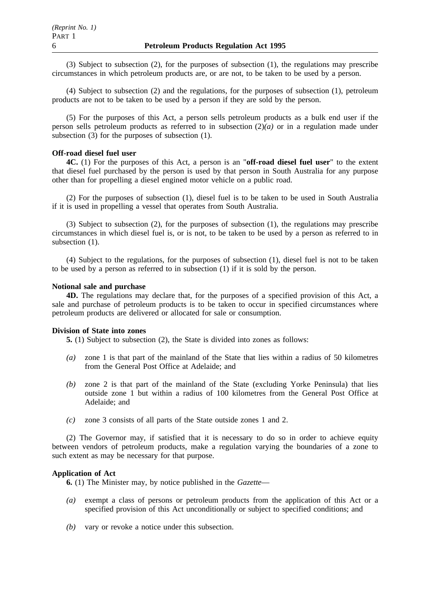(3) Subject to subsection (2), for the purposes of subsection (1), the regulations may prescribe circumstances in which petroleum products are, or are not, to be taken to be used by a person.

(4) Subject to subsection (2) and the regulations, for the purposes of subsection (1), petroleum products are not to be taken to be used by a person if they are sold by the person.

(5) For the purposes of this Act, a person sells petroleum products as a bulk end user if the person sells petroleum products as referred to in subsection (2)*(a)* or in a regulation made under subsection (3) for the purposes of subsection (1).

# **Off-road diesel fuel user**

**4C.** (1) For the purposes of this Act, a person is an "**off-road diesel fuel user**" to the extent that diesel fuel purchased by the person is used by that person in South Australia for any purpose other than for propelling a diesel engined motor vehicle on a public road.

(2) For the purposes of subsection (1), diesel fuel is to be taken to be used in South Australia if it is used in propelling a vessel that operates from South Australia.

(3) Subject to subsection (2), for the purposes of subsection (1), the regulations may prescribe circumstances in which diesel fuel is, or is not, to be taken to be used by a person as referred to in subsection  $(1)$ .

(4) Subject to the regulations, for the purposes of subsection (1), diesel fuel is not to be taken to be used by a person as referred to in subsection (1) if it is sold by the person.

### **Notional sale and purchase**

**4D.** The regulations may declare that, for the purposes of a specified provision of this Act, a sale and purchase of petroleum products is to be taken to occur in specified circumstances where petroleum products are delivered or allocated for sale or consumption.

### **Division of State into zones**

**5.** (1) Subject to subsection (2), the State is divided into zones as follows:

- *(a)* zone 1 is that part of the mainland of the State that lies within a radius of 50 kilometres from the General Post Office at Adelaide; and
- *(b)* zone 2 is that part of the mainland of the State (excluding Yorke Peninsula) that lies outside zone 1 but within a radius of 100 kilometres from the General Post Office at Adelaide; and
- *(c)* zone 3 consists of all parts of the State outside zones 1 and 2.

(2) The Governor may, if satisfied that it is necessary to do so in order to achieve equity between vendors of petroleum products, make a regulation varying the boundaries of a zone to such extent as may be necessary for that purpose.

### **Application of Act**

**6.** (1) The Minister may, by notice published in the *Gazette*—

- *(a)* exempt a class of persons or petroleum products from the application of this Act or a specified provision of this Act unconditionally or subject to specified conditions; and
- *(b)* vary or revoke a notice under this subsection.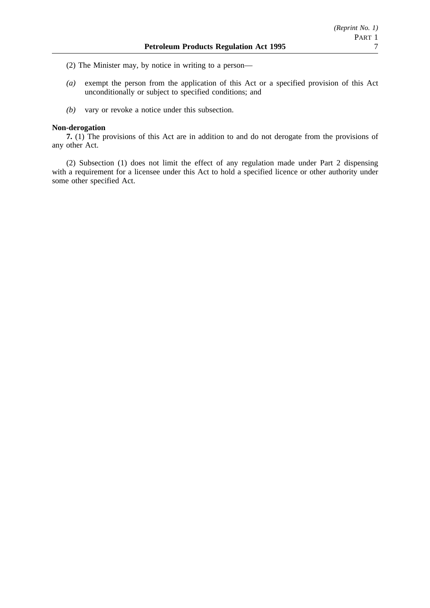(2) The Minister may, by notice in writing to a person—

- *(a)* exempt the person from the application of this Act or a specified provision of this Act unconditionally or subject to specified conditions; and
- *(b)* vary or revoke a notice under this subsection.

## **Non-derogation**

**7.** (1) The provisions of this Act are in addition to and do not derogate from the provisions of any other Act.

(2) Subsection (1) does not limit the effect of any regulation made under Part 2 dispensing with a requirement for a licensee under this Act to hold a specified licence or other authority under some other specified Act.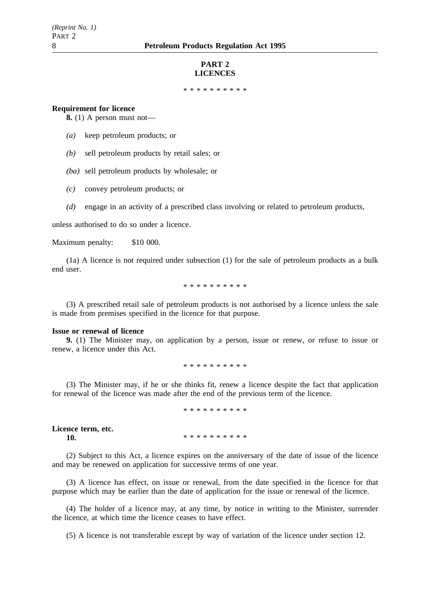#### **PART 2 LICENCES**

\*\*\*\*\*\*\*\*\*\*

#### **Requirement for licence**

**8.** (1) A person must not—

- *(a)* keep petroleum products; or
- *(b)* sell petroleum products by retail sales; or
- *(ba)* sell petroleum products by wholesale; or
- *(c)* convey petroleum products; or
- *(d)* engage in an activity of a prescribed class involving or related to petroleum products,

unless authorised to do so under a licence.

Maximum penalty: \$10 000.

(1a) A licence is not required under subsection (1) for the sale of petroleum products as a bulk end user.

\*\*\*\*\*\*\*\*\*\*

(3) A prescribed retail sale of petroleum products is not authorised by a licence unless the sale is made from premises specified in the licence for that purpose.

#### **Issue or renewal of licence**

**9.** (1) The Minister may, on application by a person, issue or renew, or refuse to issue or renew, a licence under this Act.

\*\*\*\*\*\*\*\*\*\*

(3) The Minister may, if he or she thinks fit, renew a licence despite the fact that application for renewal of the licence was made after the end of the previous term of the licence.

\*\*\*\*\*\*\*\*\*\*

**Licence term, etc. 10.** \*\*\*\*\*\*\*\*\*\*\*

(2) Subject to this Act, a licence expires on the anniversary of the date of issue of the licence and may be renewed on application for successive terms of one year.

(3) A licence has effect, on issue or renewal, from the date specified in the licence for that purpose which may be earlier than the date of application for the issue or renewal of the licence.

(4) The holder of a licence may, at any time, by notice in writing to the Minister, surrender the licence, at which time the licence ceases to have effect.

(5) A licence is not transferable except by way of variation of the licence under section 12.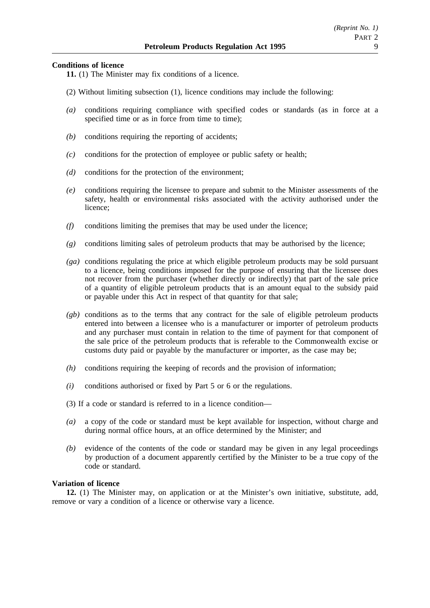# **Conditions of licence**

- **11.** (1) The Minister may fix conditions of a licence.
- (2) Without limiting subsection (1), licence conditions may include the following:
- *(a)* conditions requiring compliance with specified codes or standards (as in force at a specified time or as in force from time to time);
- *(b)* conditions requiring the reporting of accidents;
- *(c)* conditions for the protection of employee or public safety or health;
- *(d)* conditions for the protection of the environment;
- *(e)* conditions requiring the licensee to prepare and submit to the Minister assessments of the safety, health or environmental risks associated with the activity authorised under the licence;
- *(f)* conditions limiting the premises that may be used under the licence;
- *(g)* conditions limiting sales of petroleum products that may be authorised by the licence;
- *(ga)* conditions regulating the price at which eligible petroleum products may be sold pursuant to a licence, being conditions imposed for the purpose of ensuring that the licensee does not recover from the purchaser (whether directly or indirectly) that part of the sale price of a quantity of eligible petroleum products that is an amount equal to the subsidy paid or payable under this Act in respect of that quantity for that sale;
- *(gb)* conditions as to the terms that any contract for the sale of eligible petroleum products entered into between a licensee who is a manufacturer or importer of petroleum products and any purchaser must contain in relation to the time of payment for that component of the sale price of the petroleum products that is referable to the Commonwealth excise or customs duty paid or payable by the manufacturer or importer, as the case may be;
- *(h)* conditions requiring the keeping of records and the provision of information;
- *(i)* conditions authorised or fixed by Part 5 or 6 or the regulations.
- (3) If a code or standard is referred to in a licence condition—
- *(a)* a copy of the code or standard must be kept available for inspection, without charge and during normal office hours, at an office determined by the Minister; and
- *(b)* evidence of the contents of the code or standard may be given in any legal proceedings by production of a document apparently certified by the Minister to be a true copy of the code or standard.

### **Variation of licence**

**12.** (1) The Minister may, on application or at the Minister's own initiative, substitute, add, remove or vary a condition of a licence or otherwise vary a licence.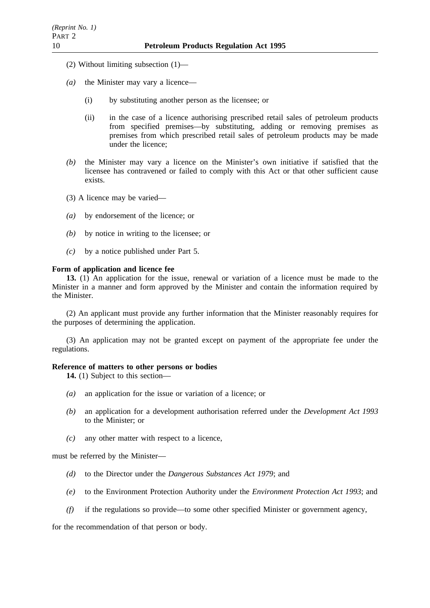- (2) Without limiting subsection (1)—
- *(a)* the Minister may vary a licence—
	- (i) by substituting another person as the licensee; or
	- (ii) in the case of a licence authorising prescribed retail sales of petroleum products from specified premises—by substituting, adding or removing premises as premises from which prescribed retail sales of petroleum products may be made under the licence;
- *(b)* the Minister may vary a licence on the Minister's own initiative if satisfied that the licensee has contravened or failed to comply with this Act or that other sufficient cause exists.
- (3) A licence may be varied—
- *(a)* by endorsement of the licence; or
- *(b)* by notice in writing to the licensee; or
- *(c)* by a notice published under Part 5.

### **Form of application and licence fee**

**13.** (1) An application for the issue, renewal or variation of a licence must be made to the Minister in a manner and form approved by the Minister and contain the information required by the Minister.

(2) An applicant must provide any further information that the Minister reasonably requires for the purposes of determining the application.

(3) An application may not be granted except on payment of the appropriate fee under the regulations.

# **Reference of matters to other persons or bodies**

**14.** (1) Subject to this section—

- *(a)* an application for the issue or variation of a licence; or
- *(b)* an application for a development authorisation referred under the *Development Act 1993* to the Minister; or
- *(c)* any other matter with respect to a licence,

must be referred by the Minister—

- *(d)* to the Director under the *Dangerous Substances Act 1979*; and
- *(e)* to the Environment Protection Authority under the *Environment Protection Act 1993*; and
- *(f)* if the regulations so provide—to some other specified Minister or government agency,

for the recommendation of that person or body.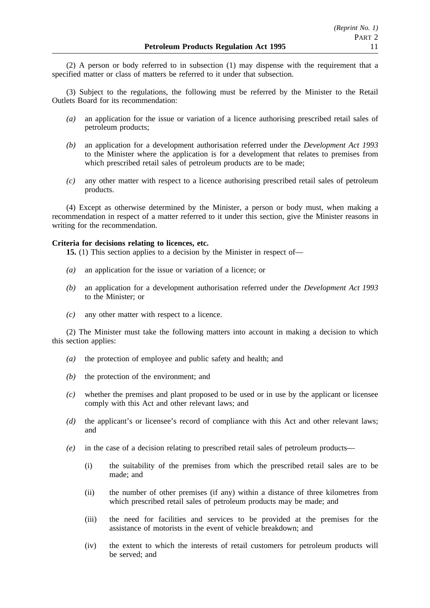(2) A person or body referred to in subsection (1) may dispense with the requirement that a specified matter or class of matters be referred to it under that subsection.

(3) Subject to the regulations, the following must be referred by the Minister to the Retail Outlets Board for its recommendation:

- *(a)* an application for the issue or variation of a licence authorising prescribed retail sales of petroleum products;
- *(b)* an application for a development authorisation referred under the *Development Act 1993* to the Minister where the application is for a development that relates to premises from which prescribed retail sales of petroleum products are to be made;
- *(c)* any other matter with respect to a licence authorising prescribed retail sales of petroleum products.

(4) Except as otherwise determined by the Minister, a person or body must, when making a recommendation in respect of a matter referred to it under this section, give the Minister reasons in writing for the recommendation.

### **Criteria for decisions relating to licences, etc.**

**15.** (1) This section applies to a decision by the Minister in respect of—

- *(a)* an application for the issue or variation of a licence; or
- *(b)* an application for a development authorisation referred under the *Development Act 1993* to the Minister; or
- *(c)* any other matter with respect to a licence.

(2) The Minister must take the following matters into account in making a decision to which this section applies:

- *(a)* the protection of employee and public safety and health; and
- *(b)* the protection of the environment; and
- *(c)* whether the premises and plant proposed to be used or in use by the applicant or licensee comply with this Act and other relevant laws; and
- *(d)* the applicant's or licensee's record of compliance with this Act and other relevant laws; and
- *(e)* in the case of a decision relating to prescribed retail sales of petroleum products—
	- (i) the suitability of the premises from which the prescribed retail sales are to be made; and
	- (ii) the number of other premises (if any) within a distance of three kilometres from which prescribed retail sales of petroleum products may be made; and
	- (iii) the need for facilities and services to be provided at the premises for the assistance of motorists in the event of vehicle breakdown; and
	- (iv) the extent to which the interests of retail customers for petroleum products will be served; and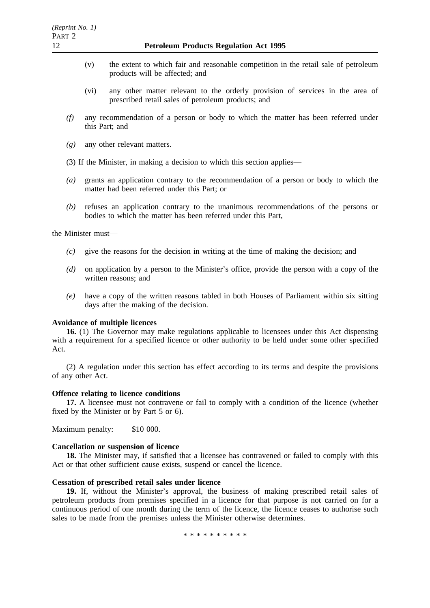- (v) the extent to which fair and reasonable competition in the retail sale of petroleum products will be affected; and
- (vi) any other matter relevant to the orderly provision of services in the area of prescribed retail sales of petroleum products; and
- *(f)* any recommendation of a person or body to which the matter has been referred under this Part; and
- *(g)* any other relevant matters.
- (3) If the Minister, in making a decision to which this section applies—
- *(a)* grants an application contrary to the recommendation of a person or body to which the matter had been referred under this Part; or
- *(b)* refuses an application contrary to the unanimous recommendations of the persons or bodies to which the matter has been referred under this Part,

the Minister must—

- *(c)* give the reasons for the decision in writing at the time of making the decision; and
- *(d)* on application by a person to the Minister's office, provide the person with a copy of the written reasons; and
- *(e)* have a copy of the written reasons tabled in both Houses of Parliament within six sitting days after the making of the decision.

#### **Avoidance of multiple licences**

**16.** (1) The Governor may make regulations applicable to licensees under this Act dispensing with a requirement for a specified licence or other authority to be held under some other specified Act.

(2) A regulation under this section has effect according to its terms and despite the provisions of any other Act.

# **Offence relating to licence conditions**

**17.** A licensee must not contravene or fail to comply with a condition of the licence (whether fixed by the Minister or by Part 5 or 6).

Maximum penalty: \$10 000.

#### **Cancellation or suspension of licence**

**18.** The Minister may, if satisfied that a licensee has contravened or failed to comply with this Act or that other sufficient cause exists, suspend or cancel the licence.

#### **Cessation of prescribed retail sales under licence**

**19.** If, without the Minister's approval, the business of making prescribed retail sales of petroleum products from premises specified in a licence for that purpose is not carried on for a continuous period of one month during the term of the licence, the licence ceases to authorise such sales to be made from the premises unless the Minister otherwise determines.

\*\*\*\*\*\*\*\*\*\*\*\*\*\*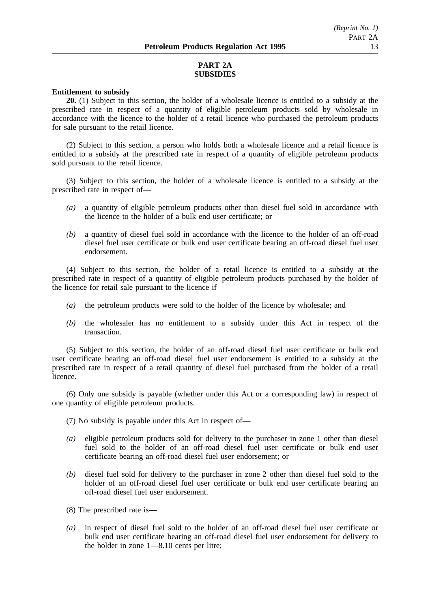# **PART 2A SUBSIDIES**

#### **Entitlement to subsidy**

**20.** (1) Subject to this section, the holder of a wholesale licence is entitled to a subsidy at the prescribed rate in respect of a quantity of eligible petroleum products sold by wholesale in accordance with the licence to the holder of a retail licence who purchased the petroleum products for sale pursuant to the retail licence.

(2) Subject to this section, a person who holds both a wholesale licence and a retail licence is entitled to a subsidy at the prescribed rate in respect of a quantity of eligible petroleum products sold pursuant to the retail licence.

(3) Subject to this section, the holder of a wholesale licence is entitled to a subsidy at the prescribed rate in respect of—

- *(a)* a quantity of eligible petroleum products other than diesel fuel sold in accordance with the licence to the holder of a bulk end user certificate; or
- *(b)* a quantity of diesel fuel sold in accordance with the licence to the holder of an off-road diesel fuel user certificate or bulk end user certificate bearing an off-road diesel fuel user endorsement.

(4) Subject to this section, the holder of a retail licence is entitled to a subsidy at the prescribed rate in respect of a quantity of eligible petroleum products purchased by the holder of the licence for retail sale pursuant to the licence if—

- *(a)* the petroleum products were sold to the holder of the licence by wholesale; and
- *(b)* the wholesaler has no entitlement to a subsidy under this Act in respect of the transaction.

(5) Subject to this section, the holder of an off-road diesel fuel user certificate or bulk end user certificate bearing an off-road diesel fuel user endorsement is entitled to a subsidy at the prescribed rate in respect of a retail quantity of diesel fuel purchased from the holder of a retail licence.

(6) Only one subsidy is payable (whether under this Act or a corresponding law) in respect of one quantity of eligible petroleum products.

(7) No subsidy is payable under this Act in respect of—

- *(a)* eligible petroleum products sold for delivery to the purchaser in zone 1 other than diesel fuel sold to the holder of an off-road diesel fuel user certificate or bulk end user certificate bearing an off-road diesel fuel user endorsement; or
- *(b)* diesel fuel sold for delivery to the purchaser in zone 2 other than diesel fuel sold to the holder of an off-road diesel fuel user certificate or bulk end user certificate bearing an off-road diesel fuel user endorsement.
- (8) The prescribed rate is—
- *(a)* in respect of diesel fuel sold to the holder of an off-road diesel fuel user certificate or bulk end user certificate bearing an off-road diesel fuel user endorsement for delivery to the holder in zone 1—8.10 cents per litre;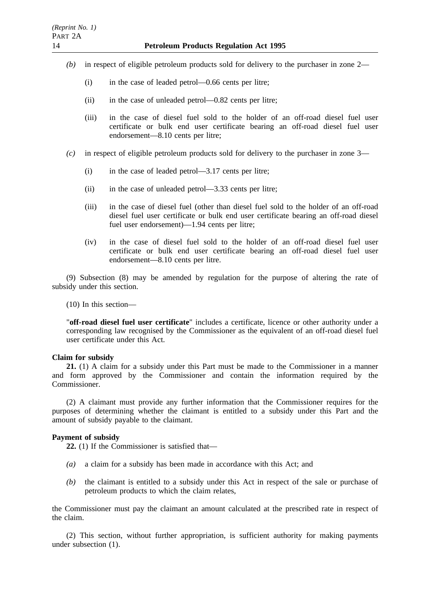- *(b)* in respect of eligible petroleum products sold for delivery to the purchaser in zone 2—
	- (i) in the case of leaded petrol—0.66 cents per litre;
	- (ii) in the case of unleaded petrol—0.82 cents per litre;
	- (iii) in the case of diesel fuel sold to the holder of an off-road diesel fuel user certificate or bulk end user certificate bearing an off-road diesel fuel user endorsement—8.10 cents per litre;
- *(c)* in respect of eligible petroleum products sold for delivery to the purchaser in zone 3—
	- (i) in the case of leaded petrol—3.17 cents per litre;
	- (ii) in the case of unleaded petrol—3.33 cents per litre;
	- (iii) in the case of diesel fuel (other than diesel fuel sold to the holder of an off-road diesel fuel user certificate or bulk end user certificate bearing an off-road diesel fuel user endorsement)—1.94 cents per litre;
	- (iv) in the case of diesel fuel sold to the holder of an off-road diesel fuel user certificate or bulk end user certificate bearing an off-road diesel fuel user endorsement—8.10 cents per litre.

(9) Subsection (8) may be amended by regulation for the purpose of altering the rate of subsidy under this section.

(10) In this section—

"**off-road diesel fuel user certificate**" includes a certificate, licence or other authority under a corresponding law recognised by the Commissioner as the equivalent of an off-road diesel fuel user certificate under this Act.

### **Claim for subsidy**

**21.** (1) A claim for a subsidy under this Part must be made to the Commissioner in a manner and form approved by the Commissioner and contain the information required by the Commissioner.

(2) A claimant must provide any further information that the Commissioner requires for the purposes of determining whether the claimant is entitled to a subsidy under this Part and the amount of subsidy payable to the claimant.

### **Payment of subsidy**

**22.** (1) If the Commissioner is satisfied that—

- *(a)* a claim for a subsidy has been made in accordance with this Act; and
- *(b)* the claimant is entitled to a subsidy under this Act in respect of the sale or purchase of petroleum products to which the claim relates,

the Commissioner must pay the claimant an amount calculated at the prescribed rate in respect of the claim.

(2) This section, without further appropriation, is sufficient authority for making payments under subsection (1).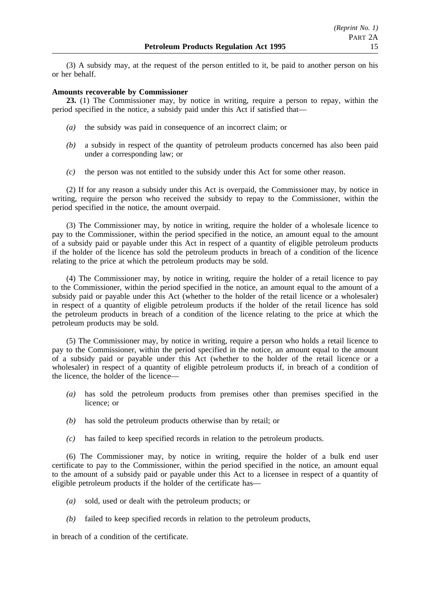(3) A subsidy may, at the request of the person entitled to it, be paid to another person on his or her behalf.

# **Amounts recoverable by Commissioner**

**23.** (1) The Commissioner may, by notice in writing, require a person to repay, within the period specified in the notice, a subsidy paid under this Act if satisfied that—

- *(a)* the subsidy was paid in consequence of an incorrect claim; or
- *(b)* a subsidy in respect of the quantity of petroleum products concerned has also been paid under a corresponding law; or
- *(c)* the person was not entitled to the subsidy under this Act for some other reason.

(2) If for any reason a subsidy under this Act is overpaid, the Commissioner may, by notice in writing, require the person who received the subsidy to repay to the Commissioner, within the period specified in the notice, the amount overpaid.

(3) The Commissioner may, by notice in writing, require the holder of a wholesale licence to pay to the Commissioner, within the period specified in the notice, an amount equal to the amount of a subsidy paid or payable under this Act in respect of a quantity of eligible petroleum products if the holder of the licence has sold the petroleum products in breach of a condition of the licence relating to the price at which the petroleum products may be sold.

(4) The Commissioner may, by notice in writing, require the holder of a retail licence to pay to the Commissioner, within the period specified in the notice, an amount equal to the amount of a subsidy paid or payable under this Act (whether to the holder of the retail licence or a wholesaler) in respect of a quantity of eligible petroleum products if the holder of the retail licence has sold the petroleum products in breach of a condition of the licence relating to the price at which the petroleum products may be sold.

(5) The Commissioner may, by notice in writing, require a person who holds a retail licence to pay to the Commissioner, within the period specified in the notice, an amount equal to the amount of a subsidy paid or payable under this Act (whether to the holder of the retail licence or a wholesaler) in respect of a quantity of eligible petroleum products if, in breach of a condition of the licence, the holder of the licence—

- *(a)* has sold the petroleum products from premises other than premises specified in the licence; or
- *(b)* has sold the petroleum products otherwise than by retail; or
- *(c)* has failed to keep specified records in relation to the petroleum products.

(6) The Commissioner may, by notice in writing, require the holder of a bulk end user certificate to pay to the Commissioner, within the period specified in the notice, an amount equal to the amount of a subsidy paid or payable under this Act to a licensee in respect of a quantity of eligible petroleum products if the holder of the certificate has—

- *(a)* sold, used or dealt with the petroleum products; or
- *(b)* failed to keep specified records in relation to the petroleum products,

in breach of a condition of the certificate.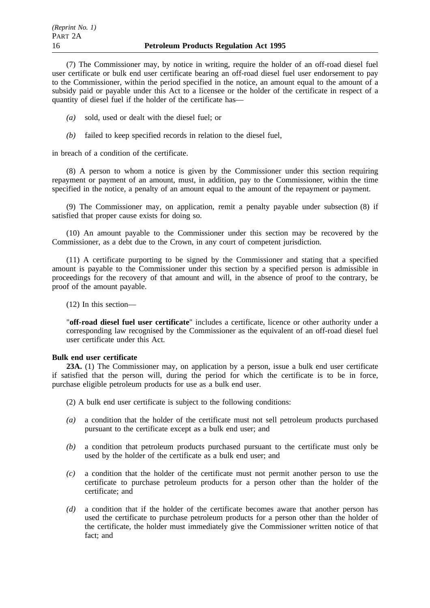(7) The Commissioner may, by notice in writing, require the holder of an off-road diesel fuel user certificate or bulk end user certificate bearing an off-road diesel fuel user endorsement to pay to the Commissioner, within the period specified in the notice, an amount equal to the amount of a subsidy paid or payable under this Act to a licensee or the holder of the certificate in respect of a quantity of diesel fuel if the holder of the certificate has—

- *(a)* sold, used or dealt with the diesel fuel; or
- *(b)* failed to keep specified records in relation to the diesel fuel,

in breach of a condition of the certificate.

(8) A person to whom a notice is given by the Commissioner under this section requiring repayment or payment of an amount, must, in addition, pay to the Commissioner, within the time specified in the notice, a penalty of an amount equal to the amount of the repayment or payment.

(9) The Commissioner may, on application, remit a penalty payable under subsection (8) if satisfied that proper cause exists for doing so.

(10) An amount payable to the Commissioner under this section may be recovered by the Commissioner, as a debt due to the Crown, in any court of competent jurisdiction.

(11) A certificate purporting to be signed by the Commissioner and stating that a specified amount is payable to the Commissioner under this section by a specified person is admissible in proceedings for the recovery of that amount and will, in the absence of proof to the contrary, be proof of the amount payable.

(12) In this section—

"**off-road diesel fuel user certificate**" includes a certificate, licence or other authority under a corresponding law recognised by the Commissioner as the equivalent of an off-road diesel fuel user certificate under this Act.

### **Bulk end user certificate**

**23A.** (1) The Commissioner may, on application by a person, issue a bulk end user certificate if satisfied that the person will, during the period for which the certificate is to be in force, purchase eligible petroleum products for use as a bulk end user.

(2) A bulk end user certificate is subject to the following conditions:

- *(a)* a condition that the holder of the certificate must not sell petroleum products purchased pursuant to the certificate except as a bulk end user; and
- *(b)* a condition that petroleum products purchased pursuant to the certificate must only be used by the holder of the certificate as a bulk end user; and
- *(c)* a condition that the holder of the certificate must not permit another person to use the certificate to purchase petroleum products for a person other than the holder of the certificate; and
- *(d)* a condition that if the holder of the certificate becomes aware that another person has used the certificate to purchase petroleum products for a person other than the holder of the certificate, the holder must immediately give the Commissioner written notice of that fact; and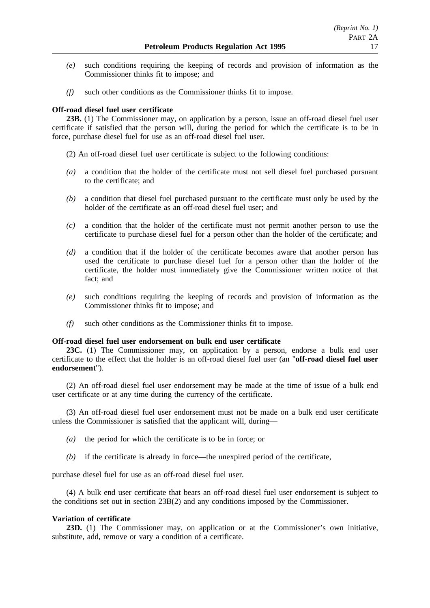- *(e)* such conditions requiring the keeping of records and provision of information as the Commissioner thinks fit to impose; and
- *(f)* such other conditions as the Commissioner thinks fit to impose.

# **Off-road diesel fuel user certificate**

**23B.** (1) The Commissioner may, on application by a person, issue an off-road diesel fuel user certificate if satisfied that the person will, during the period for which the certificate is to be in force, purchase diesel fuel for use as an off-road diesel fuel user.

- (2) An off-road diesel fuel user certificate is subject to the following conditions:
- *(a)* a condition that the holder of the certificate must not sell diesel fuel purchased pursuant to the certificate; and
- *(b)* a condition that diesel fuel purchased pursuant to the certificate must only be used by the holder of the certificate as an off-road diesel fuel user; and
- *(c)* a condition that the holder of the certificate must not permit another person to use the certificate to purchase diesel fuel for a person other than the holder of the certificate; and
- *(d)* a condition that if the holder of the certificate becomes aware that another person has used the certificate to purchase diesel fuel for a person other than the holder of the certificate, the holder must immediately give the Commissioner written notice of that fact; and
- *(e)* such conditions requiring the keeping of records and provision of information as the Commissioner thinks fit to impose; and
- *(f)* such other conditions as the Commissioner thinks fit to impose.

### **Off-road diesel fuel user endorsement on bulk end user certificate**

**23C.** (1) The Commissioner may, on application by a person, endorse a bulk end user certificate to the effect that the holder is an off-road diesel fuel user (an "**off-road diesel fuel user endorsement**").

(2) An off-road diesel fuel user endorsement may be made at the time of issue of a bulk end user certificate or at any time during the currency of the certificate.

(3) An off-road diesel fuel user endorsement must not be made on a bulk end user certificate unless the Commissioner is satisfied that the applicant will, during—

- *(a)* the period for which the certificate is to be in force; or
- *(b)* if the certificate is already in force—the unexpired period of the certificate,

purchase diesel fuel for use as an off-road diesel fuel user.

(4) A bulk end user certificate that bears an off-road diesel fuel user endorsement is subject to the conditions set out in section 23B(2) and any conditions imposed by the Commissioner.

### **Variation of certificate**

**23D.** (1) The Commissioner may, on application or at the Commissioner's own initiative, substitute, add, remove or vary a condition of a certificate.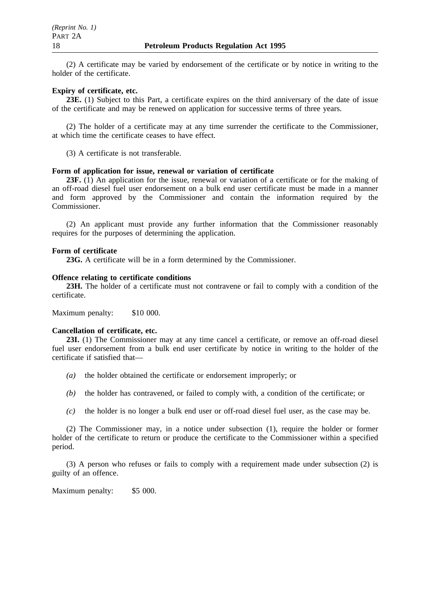(2) A certificate may be varied by endorsement of the certificate or by notice in writing to the holder of the certificate.

### **Expiry of certificate, etc.**

PART 2A

**23E.** (1) Subject to this Part, a certificate expires on the third anniversary of the date of issue of the certificate and may be renewed on application for successive terms of three years.

(2) The holder of a certificate may at any time surrender the certificate to the Commissioner, at which time the certificate ceases to have effect.

(3) A certificate is not transferable.

# **Form of application for issue, renewal or variation of certificate**

**23F.** (1) An application for the issue, renewal or variation of a certificate or for the making of an off-road diesel fuel user endorsement on a bulk end user certificate must be made in a manner and form approved by the Commissioner and contain the information required by the Commissioner.

(2) An applicant must provide any further information that the Commissioner reasonably requires for the purposes of determining the application.

#### **Form of certificate**

**23G.** A certificate will be in a form determined by the Commissioner.

#### **Offence relating to certificate conditions**

**23H.** The holder of a certificate must not contravene or fail to comply with a condition of the certificate.

Maximum penalty: \$10 000.

#### **Cancellation of certificate, etc.**

**23I.** (1) The Commissioner may at any time cancel a certificate, or remove an off-road diesel fuel user endorsement from a bulk end user certificate by notice in writing to the holder of the certificate if satisfied that—

- *(a)* the holder obtained the certificate or endorsement improperly; or
- *(b)* the holder has contravened, or failed to comply with, a condition of the certificate; or
- *(c)* the holder is no longer a bulk end user or off-road diesel fuel user, as the case may be.

(2) The Commissioner may, in a notice under subsection (1), require the holder or former holder of the certificate to return or produce the certificate to the Commissioner within a specified period.

(3) A person who refuses or fails to comply with a requirement made under subsection (2) is guilty of an offence.

Maximum penalty: \$5 000.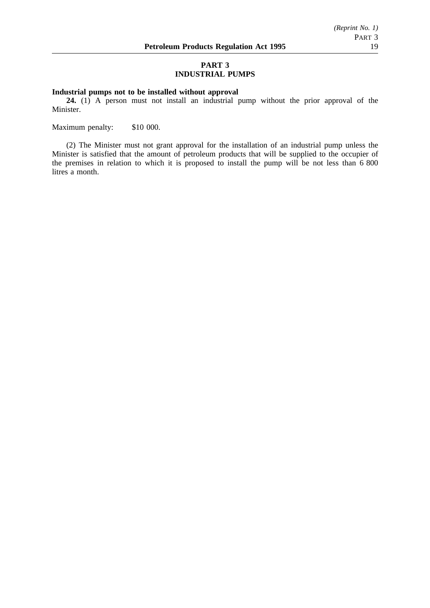# **PART 3 INDUSTRIAL PUMPS**

# **Industrial pumps not to be installed without approval**

**24.** (1) A person must not install an industrial pump without the prior approval of the Minister.

Maximum penalty: \$10 000.

(2) The Minister must not grant approval for the installation of an industrial pump unless the Minister is satisfied that the amount of petroleum products that will be supplied to the occupier of the premises in relation to which it is proposed to install the pump will be not less than 6 800 litres a month.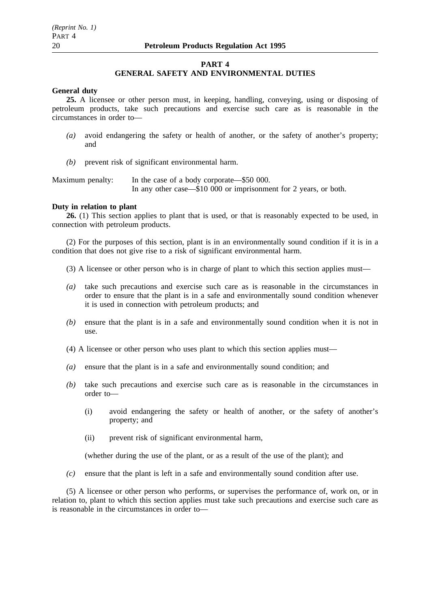#### **PART 4**

#### **GENERAL SAFETY AND ENVIRONMENTAL DUTIES**

#### **General duty**

**25.** A licensee or other person must, in keeping, handling, conveying, using or disposing of petroleum products, take such precautions and exercise such care as is reasonable in the circumstances in order to—

- *(a)* avoid endangering the safety or health of another, or the safety of another's property; and
- *(b)* prevent risk of significant environmental harm.

Maximum penalty: In the case of a body corporate—\$50 000. In any other case—\$10 000 or imprisonment for 2 years, or both.

### **Duty in relation to plant**

**26.** (1) This section applies to plant that is used, or that is reasonably expected to be used, in connection with petroleum products.

(2) For the purposes of this section, plant is in an environmentally sound condition if it is in a condition that does not give rise to a risk of significant environmental harm.

- (3) A licensee or other person who is in charge of plant to which this section applies must—
- *(a)* take such precautions and exercise such care as is reasonable in the circumstances in order to ensure that the plant is in a safe and environmentally sound condition whenever it is used in connection with petroleum products; and
- *(b)* ensure that the plant is in a safe and environmentally sound condition when it is not in use.
- (4) A licensee or other person who uses plant to which this section applies must—
- *(a)* ensure that the plant is in a safe and environmentally sound condition; and
- *(b)* take such precautions and exercise such care as is reasonable in the circumstances in order to—
	- (i) avoid endangering the safety or health of another, or the safety of another's property; and
	- (ii) prevent risk of significant environmental harm,

(whether during the use of the plant, or as a result of the use of the plant); and

*(c)* ensure that the plant is left in a safe and environmentally sound condition after use.

(5) A licensee or other person who performs, or supervises the performance of, work on, or in relation to, plant to which this section applies must take such precautions and exercise such care as is reasonable in the circumstances in order to—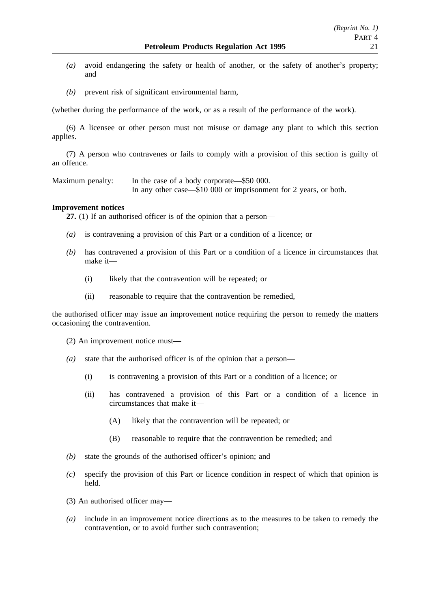- *(a)* avoid endangering the safety or health of another, or the safety of another's property; and
- *(b)* prevent risk of significant environmental harm,

(whether during the performance of the work, or as a result of the performance of the work).

(6) A licensee or other person must not misuse or damage any plant to which this section applies.

(7) A person who contravenes or fails to comply with a provision of this section is guilty of an offence.

Maximum penalty: In the case of a body corporate—\$50 000. In any other case—\$10 000 or imprisonment for 2 years, or both.

### **Improvement notices**

**27.** (1) If an authorised officer is of the opinion that a person—

- *(a)* is contravening a provision of this Part or a condition of a licence; or
- *(b)* has contravened a provision of this Part or a condition of a licence in circumstances that make it—
	- (i) likely that the contravention will be repeated; or
	- (ii) reasonable to require that the contravention be remedied,

the authorised officer may issue an improvement notice requiring the person to remedy the matters occasioning the contravention.

- (2) An improvement notice must—
- *(a)* state that the authorised officer is of the opinion that a person—
	- (i) is contravening a provision of this Part or a condition of a licence; or
	- (ii) has contravened a provision of this Part or a condition of a licence in circumstances that make it—
		- (A) likely that the contravention will be repeated; or
		- (B) reasonable to require that the contravention be remedied; and
- *(b)* state the grounds of the authorised officer's opinion; and
- *(c)* specify the provision of this Part or licence condition in respect of which that opinion is held.
- (3) An authorised officer may—
- *(a)* include in an improvement notice directions as to the measures to be taken to remedy the contravention, or to avoid further such contravention;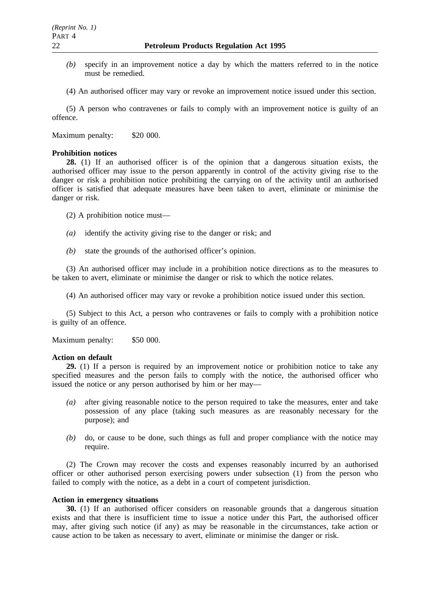- *(b)* specify in an improvement notice a day by which the matters referred to in the notice must be remedied.
- (4) An authorised officer may vary or revoke an improvement notice issued under this section.

(5) A person who contravenes or fails to comply with an improvement notice is guilty of an offence.

Maximum penalty: \$20 000.

# **Prohibition notices**

**28.** (1) If an authorised officer is of the opinion that a dangerous situation exists, the authorised officer may issue to the person apparently in control of the activity giving rise to the danger or risk a prohibition notice prohibiting the carrying on of the activity until an authorised officer is satisfied that adequate measures have been taken to avert, eliminate or minimise the danger or risk.

(2) A prohibition notice must—

- *(a)* identify the activity giving rise to the danger or risk; and
- *(b)* state the grounds of the authorised officer's opinion.

(3) An authorised officer may include in a prohibition notice directions as to the measures to be taken to avert, eliminate or minimise the danger or risk to which the notice relates.

(4) An authorised officer may vary or revoke a prohibition notice issued under this section.

(5) Subject to this Act, a person who contravenes or fails to comply with a prohibition notice is guilty of an offence.

Maximum penalty: \$50 000.

### **Action on default**

**29.** (1) If a person is required by an improvement notice or prohibition notice to take any specified measures and the person fails to comply with the notice, the authorised officer who issued the notice or any person authorised by him or her may—

- *(a)* after giving reasonable notice to the person required to take the measures, enter and take possession of any place (taking such measures as are reasonably necessary for the purpose); and
- *(b)* do, or cause to be done, such things as full and proper compliance with the notice may require.

(2) The Crown may recover the costs and expenses reasonably incurred by an authorised officer or other authorised person exercising powers under subsection (1) from the person who failed to comply with the notice, as a debt in a court of competent jurisdiction.

### **Action in emergency situations**

**30.** (1) If an authorised officer considers on reasonable grounds that a dangerous situation exists and that there is insufficient time to issue a notice under this Part, the authorised officer may, after giving such notice (if any) as may be reasonable in the circumstances, take action or cause action to be taken as necessary to avert, eliminate or minimise the danger or risk.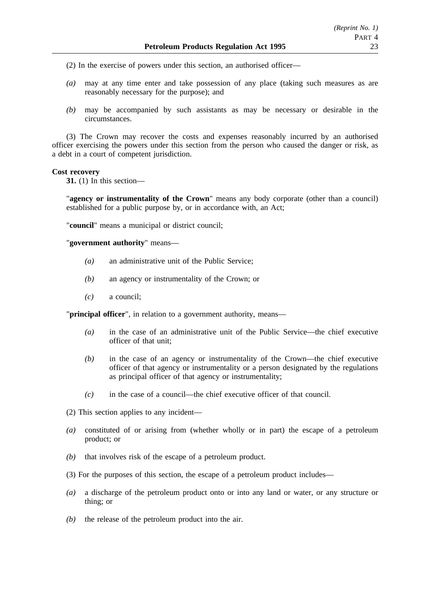(2) In the exercise of powers under this section, an authorised officer—

- *(a)* may at any time enter and take possession of any place (taking such measures as are reasonably necessary for the purpose); and
- *(b)* may be accompanied by such assistants as may be necessary or desirable in the circumstances.

(3) The Crown may recover the costs and expenses reasonably incurred by an authorised officer exercising the powers under this section from the person who caused the danger or risk, as a debt in a court of competent jurisdiction.

#### **Cost recovery**

**31.** (1) In this section—

"**agency or instrumentality of the Crown**" means any body corporate (other than a council) established for a public purpose by, or in accordance with, an Act;

"**council**" means a municipal or district council;

"**government authority**" means—

- *(a)* an administrative unit of the Public Service;
- *(b)* an agency or instrumentality of the Crown; or
- *(c)* a council;

"**principal officer**", in relation to a government authority, means—

- *(a)* in the case of an administrative unit of the Public Service—the chief executive officer of that unit;
- *(b)* in the case of an agency or instrumentality of the Crown—the chief executive officer of that agency or instrumentality or a person designated by the regulations as principal officer of that agency or instrumentality;
- *(c)* in the case of a council—the chief executive officer of that council.

(2) This section applies to any incident—

- *(a)* constituted of or arising from (whether wholly or in part) the escape of a petroleum product; or
- *(b)* that involves risk of the escape of a petroleum product.
- (3) For the purposes of this section, the escape of a petroleum product includes—
- *(a)* a discharge of the petroleum product onto or into any land or water, or any structure or thing; or
- *(b)* the release of the petroleum product into the air.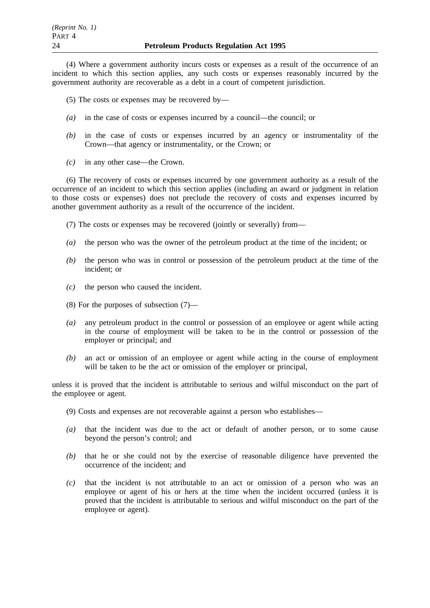(4) Where a government authority incurs costs or expenses as a result of the occurrence of an incident to which this section applies, any such costs or expenses reasonably incurred by the government authority are recoverable as a debt in a court of competent jurisdiction.

- (5) The costs or expenses may be recovered by—
- *(a)* in the case of costs or expenses incurred by a council—the council; or
- *(b)* in the case of costs or expenses incurred by an agency or instrumentality of the Crown—that agency or instrumentality, or the Crown; or
- *(c)* in any other case—the Crown.

(6) The recovery of costs or expenses incurred by one government authority as a result of the occurrence of an incident to which this section applies (including an award or judgment in relation to those costs or expenses) does not preclude the recovery of costs and expenses incurred by another government authority as a result of the occurrence of the incident.

- (7) The costs or expenses may be recovered (jointly or severally) from—
- *(a)* the person who was the owner of the petroleum product at the time of the incident; or
- *(b)* the person who was in control or possession of the petroleum product at the time of the incident; or
- *(c)* the person who caused the incident.
- (8) For the purposes of subsection (7)—
- *(a)* any petroleum product in the control or possession of an employee or agent while acting in the course of employment will be taken to be in the control or possession of the employer or principal; and
- *(b)* an act or omission of an employee or agent while acting in the course of employment will be taken to be the act or omission of the employer or principal,

unless it is proved that the incident is attributable to serious and wilful misconduct on the part of the employee or agent.

- (9) Costs and expenses are not recoverable against a person who establishes—
- *(a)* that the incident was due to the act or default of another person, or to some cause beyond the person's control; and
- *(b)* that he or she could not by the exercise of reasonable diligence have prevented the occurrence of the incident; and
- *(c)* that the incident is not attributable to an act or omission of a person who was an employee or agent of his or hers at the time when the incident occurred (unless it is proved that the incident is attributable to serious and wilful misconduct on the part of the employee or agent).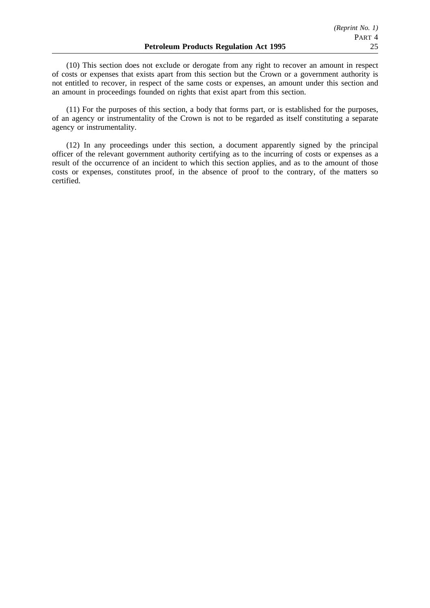(10) This section does not exclude or derogate from any right to recover an amount in respect of costs or expenses that exists apart from this section but the Crown or a government authority is not entitled to recover, in respect of the same costs or expenses, an amount under this section and an amount in proceedings founded on rights that exist apart from this section.

(11) For the purposes of this section, a body that forms part, or is established for the purposes, of an agency or instrumentality of the Crown is not to be regarded as itself constituting a separate agency or instrumentality.

(12) In any proceedings under this section, a document apparently signed by the principal officer of the relevant government authority certifying as to the incurring of costs or expenses as a result of the occurrence of an incident to which this section applies, and as to the amount of those costs or expenses, constitutes proof, in the absence of proof to the contrary, of the matters so certified.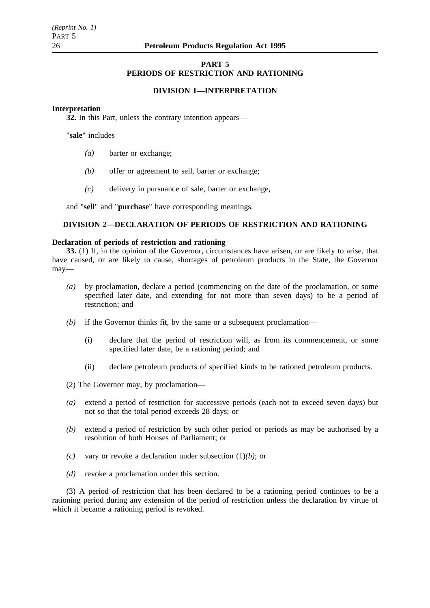# **PART 5 PERIODS OF RESTRICTION AND RATIONING**

### **DIVISION 1—INTERPRETATION**

#### **Interpretation**

**32.** In this Part, unless the contrary intention appears—

"**sale**" includes—

- *(a)* barter or exchange;
- *(b)* offer or agreement to sell, barter or exchange;
- *(c)* delivery in pursuance of sale, barter or exchange,

and "**sell**" and "**purchase**" have corresponding meanings.

# **DIVISION 2—DECLARATION OF PERIODS OF RESTRICTION AND RATIONING**

#### **Declaration of periods of restriction and rationing**

**33.** (1) If, in the opinion of the Governor, circumstances have arisen, or are likely to arise, that have caused, or are likely to cause, shortages of petroleum products in the State, the Governor may—

- *(a)* by proclamation, declare a period (commencing on the date of the proclamation, or some specified later date, and extending for not more than seven days) to be a period of restriction; and
- *(b)* if the Governor thinks fit, by the same or a subsequent proclamation—
	- (i) declare that the period of restriction will, as from its commencement, or some specified later date, be a rationing period; and
	- (ii) declare petroleum products of specified kinds to be rationed petroleum products.

(2) The Governor may, by proclamation—

- *(a)* extend a period of restriction for successive periods (each not to exceed seven days) but not so that the total period exceeds 28 days; or
- *(b)* extend a period of restriction by such other period or periods as may be authorised by a resolution of both Houses of Parliament; or
- *(c)* vary or revoke a declaration under subsection (1)*(b)*; or
- *(d)* revoke a proclamation under this section.

(3) A period of restriction that has been declared to be a rationing period continues to be a rationing period during any extension of the period of restriction unless the declaration by virtue of which it became a rationing period is revoked.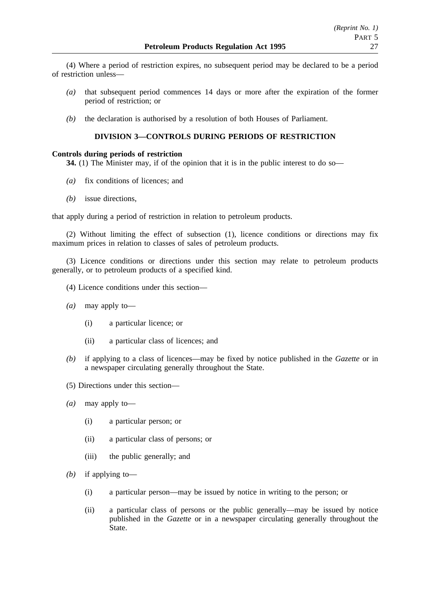(4) Where a period of restriction expires, no subsequent period may be declared to be a period of restriction unless—

- *(a)* that subsequent period commences 14 days or more after the expiration of the former period of restriction; or
- *(b)* the declaration is authorised by a resolution of both Houses of Parliament.

# **DIVISION 3—CONTROLS DURING PERIODS OF RESTRICTION**

# **Controls during periods of restriction**

**34.** (1) The Minister may, if of the opinion that it is in the public interest to do so—

- *(a)* fix conditions of licences; and
- *(b)* issue directions,

that apply during a period of restriction in relation to petroleum products.

(2) Without limiting the effect of subsection (1), licence conditions or directions may fix maximum prices in relation to classes of sales of petroleum products.

(3) Licence conditions or directions under this section may relate to petroleum products generally, or to petroleum products of a specified kind.

- (4) Licence conditions under this section—
- *(a)* may apply to—
	- (i) a particular licence; or
	- (ii) a particular class of licences; and
- *(b)* if applying to a class of licences—may be fixed by notice published in the *Gazette* or in a newspaper circulating generally throughout the State.
- (5) Directions under this section—
- *(a)* may apply to—
	- (i) a particular person; or
	- (ii) a particular class of persons; or
	- (iii) the public generally; and
- *(b)* if applying to—
	- (i) a particular person—may be issued by notice in writing to the person; or
	- (ii) a particular class of persons or the public generally—may be issued by notice published in the *Gazette* or in a newspaper circulating generally throughout the State.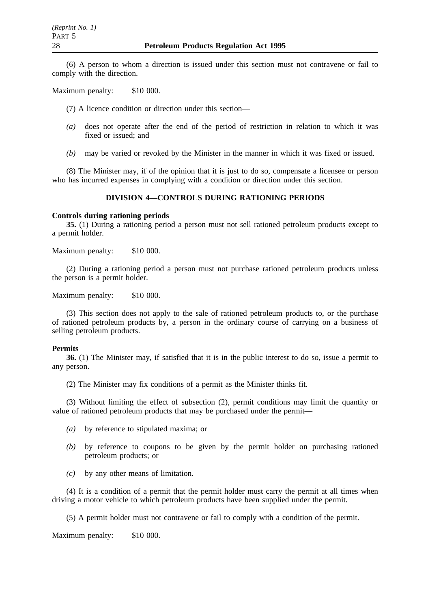(6) A person to whom a direction is issued under this section must not contravene or fail to comply with the direction.

Maximum penalty: \$10 000.

(7) A licence condition or direction under this section—

- *(a)* does not operate after the end of the period of restriction in relation to which it was fixed or issued; and
- *(b)* may be varied or revoked by the Minister in the manner in which it was fixed or issued.

(8) The Minister may, if of the opinion that it is just to do so, compensate a licensee or person who has incurred expenses in complying with a condition or direction under this section.

# **DIVISION 4—CONTROLS DURING RATIONING PERIODS**

# **Controls during rationing periods**

**35.** (1) During a rationing period a person must not sell rationed petroleum products except to a permit holder.

Maximum penalty: \$10 000.

(2) During a rationing period a person must not purchase rationed petroleum products unless the person is a permit holder.

Maximum penalty: \$10 000.

(3) This section does not apply to the sale of rationed petroleum products to, or the purchase of rationed petroleum products by, a person in the ordinary course of carrying on a business of selling petroleum products.

### **Permits**

**36.** (1) The Minister may, if satisfied that it is in the public interest to do so, issue a permit to any person.

(2) The Minister may fix conditions of a permit as the Minister thinks fit.

(3) Without limiting the effect of subsection (2), permit conditions may limit the quantity or value of rationed petroleum products that may be purchased under the permit—

- *(a)* by reference to stipulated maxima; or
- *(b)* by reference to coupons to be given by the permit holder on purchasing rationed petroleum products; or
- *(c)* by any other means of limitation.

(4) It is a condition of a permit that the permit holder must carry the permit at all times when driving a motor vehicle to which petroleum products have been supplied under the permit.

(5) A permit holder must not contravene or fail to comply with a condition of the permit.

Maximum penalty: \$10 000.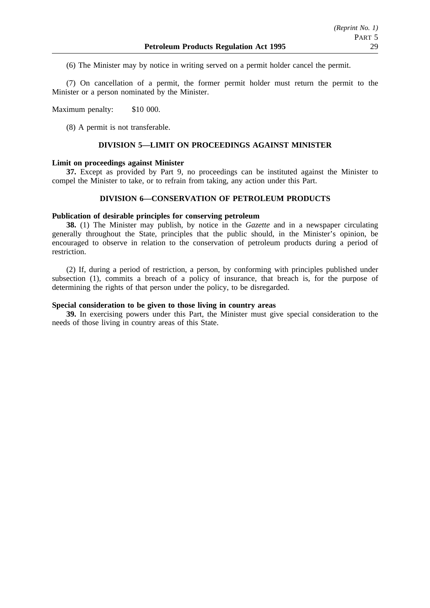(6) The Minister may by notice in writing served on a permit holder cancel the permit.

(7) On cancellation of a permit, the former permit holder must return the permit to the Minister or a person nominated by the Minister.

Maximum penalty: \$10 000.

(8) A permit is not transferable.

#### **DIVISION 5—LIMIT ON PROCEEDINGS AGAINST MINISTER**

## **Limit on proceedings against Minister**

**37.** Except as provided by Part 9, no proceedings can be instituted against the Minister to compel the Minister to take, or to refrain from taking, any action under this Part.

## **DIVISION 6—CONSERVATION OF PETROLEUM PRODUCTS**

#### **Publication of desirable principles for conserving petroleum**

**38.** (1) The Minister may publish, by notice in the *Gazette* and in a newspaper circulating generally throughout the State, principles that the public should, in the Minister's opinion, be encouraged to observe in relation to the conservation of petroleum products during a period of restriction.

(2) If, during a period of restriction, a person, by conforming with principles published under subsection (1), commits a breach of a policy of insurance, that breach is, for the purpose of determining the rights of that person under the policy, to be disregarded.

# **Special consideration to be given to those living in country areas**

**39.** In exercising powers under this Part, the Minister must give special consideration to the needs of those living in country areas of this State.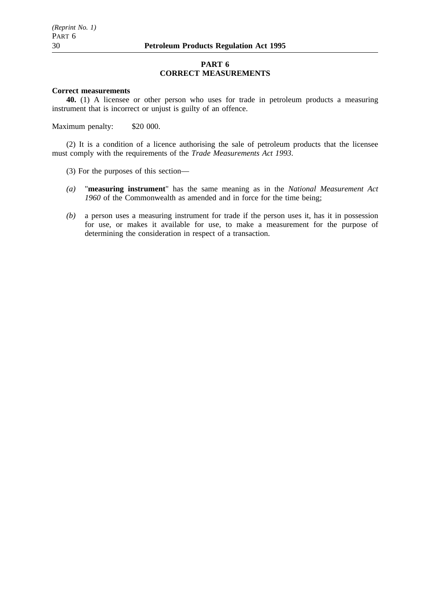### **PART 6 CORRECT MEASUREMENTS**

#### **Correct measurements**

**40.** (1) A licensee or other person who uses for trade in petroleum products a measuring instrument that is incorrect or unjust is guilty of an offence.

Maximum penalty: \$20 000.

(2) It is a condition of a licence authorising the sale of petroleum products that the licensee must comply with the requirements of the *Trade Measurements Act 1993*.

- (3) For the purposes of this section—
- *(a)* "**measuring instrument**" has the same meaning as in the *National Measurement Act 1960* of the Commonwealth as amended and in force for the time being;
- *(b)* a person uses a measuring instrument for trade if the person uses it, has it in possession for use, or makes it available for use, to make a measurement for the purpose of determining the consideration in respect of a transaction.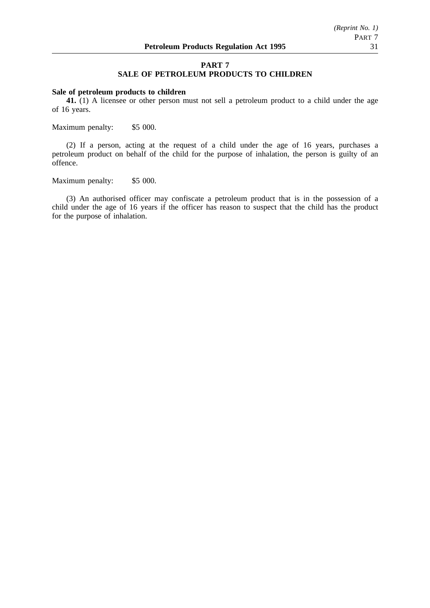#### **PART 7**

# **SALE OF PETROLEUM PRODUCTS TO CHILDREN**

#### **Sale of petroleum products to children**

**41.** (1) A licensee or other person must not sell a petroleum product to a child under the age of 16 years.

Maximum penalty: \$5 000.

(2) If a person, acting at the request of a child under the age of 16 years, purchases a petroleum product on behalf of the child for the purpose of inhalation, the person is guilty of an offence.

Maximum penalty: \$5 000.

(3) An authorised officer may confiscate a petroleum product that is in the possession of a child under the age of 16 years if the officer has reason to suspect that the child has the product for the purpose of inhalation.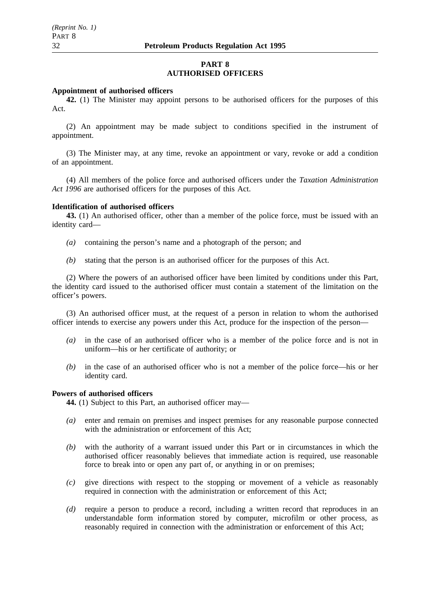# **PART 8 AUTHORISED OFFICERS**

#### **Appointment of authorised officers**

**42.** (1) The Minister may appoint persons to be authorised officers for the purposes of this Act.

(2) An appointment may be made subject to conditions specified in the instrument of appointment.

(3) The Minister may, at any time, revoke an appointment or vary, revoke or add a condition of an appointment.

(4) All members of the police force and authorised officers under the *Taxation Administration Act 1996* are authorised officers for the purposes of this Act.

# **Identification of authorised officers**

**43.** (1) An authorised officer, other than a member of the police force, must be issued with an identity card—

- *(a)* containing the person's name and a photograph of the person; and
- *(b)* stating that the person is an authorised officer for the purposes of this Act.

(2) Where the powers of an authorised officer have been limited by conditions under this Part, the identity card issued to the authorised officer must contain a statement of the limitation on the officer's powers.

(3) An authorised officer must, at the request of a person in relation to whom the authorised officer intends to exercise any powers under this Act, produce for the inspection of the person—

- *(a)* in the case of an authorised officer who is a member of the police force and is not in uniform—his or her certificate of authority; or
- *(b)* in the case of an authorised officer who is not a member of the police force—his or her identity card.

# **Powers of authorised officers**

**44.** (1) Subject to this Part, an authorised officer may—

- *(a)* enter and remain on premises and inspect premises for any reasonable purpose connected with the administration or enforcement of this Act:
- *(b)* with the authority of a warrant issued under this Part or in circumstances in which the authorised officer reasonably believes that immediate action is required, use reasonable force to break into or open any part of, or anything in or on premises;
- *(c)* give directions with respect to the stopping or movement of a vehicle as reasonably required in connection with the administration or enforcement of this Act;
- *(d)* require a person to produce a record, including a written record that reproduces in an understandable form information stored by computer, microfilm or other process, as reasonably required in connection with the administration or enforcement of this Act;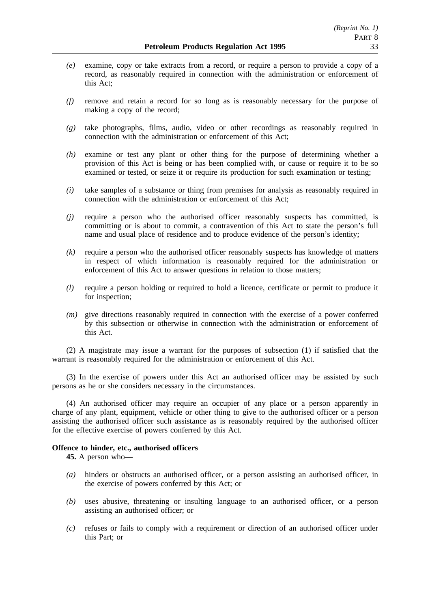- *(e)* examine, copy or take extracts from a record, or require a person to provide a copy of a record, as reasonably required in connection with the administration or enforcement of this Act;
- *(f)* remove and retain a record for so long as is reasonably necessary for the purpose of making a copy of the record;
- *(g)* take photographs, films, audio, video or other recordings as reasonably required in connection with the administration or enforcement of this Act;
- *(h)* examine or test any plant or other thing for the purpose of determining whether a provision of this Act is being or has been complied with, or cause or require it to be so examined or tested, or seize it or require its production for such examination or testing;
- *(i)* take samples of a substance or thing from premises for analysis as reasonably required in connection with the administration or enforcement of this Act;
- *(j)* require a person who the authorised officer reasonably suspects has committed, is committing or is about to commit, a contravention of this Act to state the person's full name and usual place of residence and to produce evidence of the person's identity;
- *(k)* require a person who the authorised officer reasonably suspects has knowledge of matters in respect of which information is reasonably required for the administration or enforcement of this Act to answer questions in relation to those matters;
- *(l)* require a person holding or required to hold a licence, certificate or permit to produce it for inspection;
- *(m)* give directions reasonably required in connection with the exercise of a power conferred by this subsection or otherwise in connection with the administration or enforcement of this Act.

(2) A magistrate may issue a warrant for the purposes of subsection (1) if satisfied that the warrant is reasonably required for the administration or enforcement of this Act.

(3) In the exercise of powers under this Act an authorised officer may be assisted by such persons as he or she considers necessary in the circumstances.

(4) An authorised officer may require an occupier of any place or a person apparently in charge of any plant, equipment, vehicle or other thing to give to the authorised officer or a person assisting the authorised officer such assistance as is reasonably required by the authorised officer for the effective exercise of powers conferred by this Act.

### **Offence to hinder, etc., authorised officers**

**45.** A person who—

- *(a)* hinders or obstructs an authorised officer, or a person assisting an authorised officer, in the exercise of powers conferred by this Act; or
- *(b)* uses abusive, threatening or insulting language to an authorised officer, or a person assisting an authorised officer; or
- *(c)* refuses or fails to comply with a requirement or direction of an authorised officer under this Part; or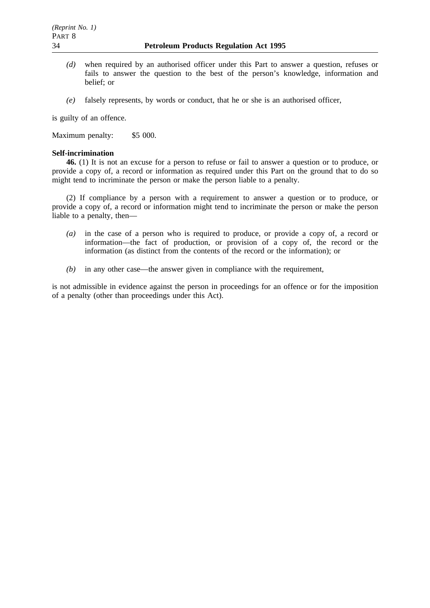- *(d)* when required by an authorised officer under this Part to answer a question, refuses or fails to answer the question to the best of the person's knowledge, information and belief; or
- *(e)* falsely represents, by words or conduct, that he or she is an authorised officer,

is guilty of an offence.

Maximum penalty: \$5 000.

# **Self-incrimination**

**46.** (1) It is not an excuse for a person to refuse or fail to answer a question or to produce, or provide a copy of, a record or information as required under this Part on the ground that to do so might tend to incriminate the person or make the person liable to a penalty.

(2) If compliance by a person with a requirement to answer a question or to produce, or provide a copy of, a record or information might tend to incriminate the person or make the person liable to a penalty, then—

- *(a)* in the case of a person who is required to produce, or provide a copy of, a record or information—the fact of production, or provision of a copy of, the record or the information (as distinct from the contents of the record or the information); or
- *(b)* in any other case—the answer given in compliance with the requirement,

is not admissible in evidence against the person in proceedings for an offence or for the imposition of a penalty (other than proceedings under this Act).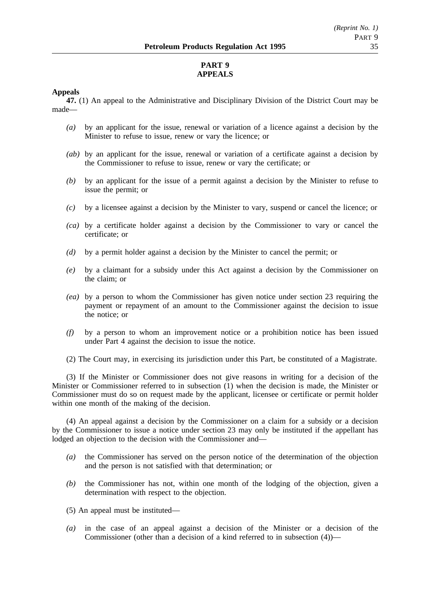# **PART 9 APPEALS**

# **Appeals**

**47.** (1) An appeal to the Administrative and Disciplinary Division of the District Court may be made—

- *(a)* by an applicant for the issue, renewal or variation of a licence against a decision by the Minister to refuse to issue, renew or vary the licence; or
- *(ab)* by an applicant for the issue, renewal or variation of a certificate against a decision by the Commissioner to refuse to issue, renew or vary the certificate; or
- *(b)* by an applicant for the issue of a permit against a decision by the Minister to refuse to issue the permit; or
- *(c)* by a licensee against a decision by the Minister to vary, suspend or cancel the licence; or
- *(ca)* by a certificate holder against a decision by the Commissioner to vary or cancel the certificate; or
- *(d)* by a permit holder against a decision by the Minister to cancel the permit; or
- *(e)* by a claimant for a subsidy under this Act against a decision by the Commissioner on the claim; or
- *(ea)* by a person to whom the Commissioner has given notice under section 23 requiring the payment or repayment of an amount to the Commissioner against the decision to issue the notice; or
- *(f)* by a person to whom an improvement notice or a prohibition notice has been issued under Part 4 against the decision to issue the notice.

(2) The Court may, in exercising its jurisdiction under this Part, be constituted of a Magistrate.

(3) If the Minister or Commissioner does not give reasons in writing for a decision of the Minister or Commissioner referred to in subsection (1) when the decision is made, the Minister or Commissioner must do so on request made by the applicant, licensee or certificate or permit holder within one month of the making of the decision.

(4) An appeal against a decision by the Commissioner on a claim for a subsidy or a decision by the Commissioner to issue a notice under section 23 may only be instituted if the appellant has lodged an objection to the decision with the Commissioner and—

- *(a)* the Commissioner has served on the person notice of the determination of the objection and the person is not satisfied with that determination; or
- *(b)* the Commissioner has not, within one month of the lodging of the objection, given a determination with respect to the objection.
- (5) An appeal must be instituted—
- *(a)* in the case of an appeal against a decision of the Minister or a decision of the Commissioner (other than a decision of a kind referred to in subsection (4))—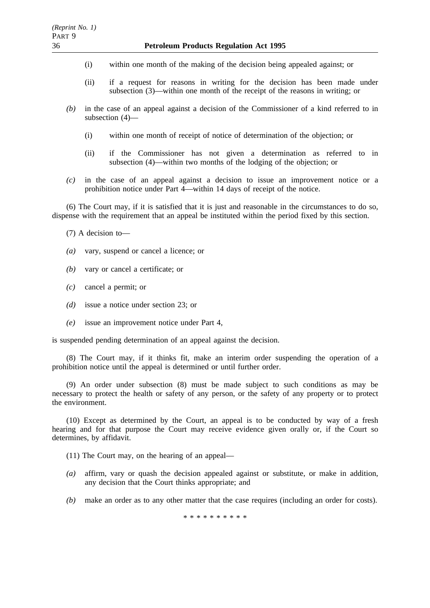- (i) within one month of the making of the decision being appealed against; or
- (ii) if a request for reasons in writing for the decision has been made under subsection (3)—within one month of the receipt of the reasons in writing; or
- *(b)* in the case of an appeal against a decision of the Commissioner of a kind referred to in subsection (4)—
	- (i) within one month of receipt of notice of determination of the objection; or
	- (ii) if the Commissioner has not given a determination as referred to in subsection (4)—within two months of the lodging of the objection; or
- *(c)* in the case of an appeal against a decision to issue an improvement notice or a prohibition notice under Part 4—within 14 days of receipt of the notice.

(6) The Court may, if it is satisfied that it is just and reasonable in the circumstances to do so, dispense with the requirement that an appeal be instituted within the period fixed by this section.

(7) A decision to—

- *(a)* vary, suspend or cancel a licence; or
- *(b)* vary or cancel a certificate; or
- *(c)* cancel a permit; or
- *(d)* issue a notice under section 23; or
- *(e)* issue an improvement notice under Part 4,

is suspended pending determination of an appeal against the decision.

(8) The Court may, if it thinks fit, make an interim order suspending the operation of a prohibition notice until the appeal is determined or until further order.

(9) An order under subsection (8) must be made subject to such conditions as may be necessary to protect the health or safety of any person, or the safety of any property or to protect the environment.

(10) Except as determined by the Court, an appeal is to be conducted by way of a fresh hearing and for that purpose the Court may receive evidence given orally or, if the Court so determines, by affidavit.

(11) The Court may, on the hearing of an appeal—

- *(a)* affirm, vary or quash the decision appealed against or substitute, or make in addition, any decision that the Court thinks appropriate; and
- *(b)* make an order as to any other matter that the case requires (including an order for costs).

\*\*\*\*\*\*\*\*\*\*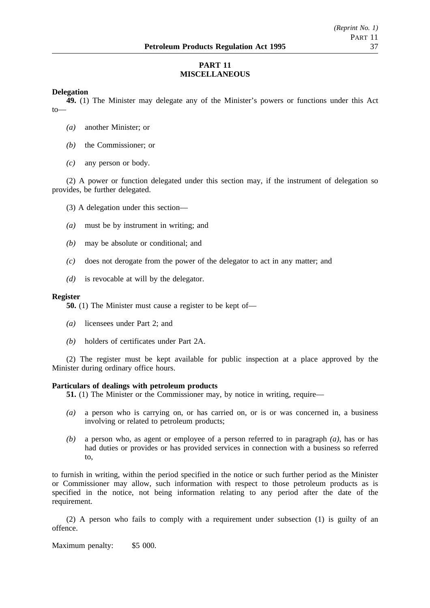# **PART 11 MISCELLANEOUS**

# **Delegation**

**49.** (1) The Minister may delegate any of the Minister's powers or functions under this Act to—

- *(a)* another Minister; or
- *(b)* the Commissioner; or
- *(c)* any person or body.

(2) A power or function delegated under this section may, if the instrument of delegation so provides, be further delegated.

(3) A delegation under this section—

- *(a)* must be by instrument in writing; and
- *(b)* may be absolute or conditional; and
- *(c)* does not derogate from the power of the delegator to act in any matter; and
- *(d)* is revocable at will by the delegator.

#### **Register**

**50.** (1) The Minister must cause a register to be kept of—

- *(a)* licensees under Part 2; and
- *(b)* holders of certificates under Part 2A.

(2) The register must be kept available for public inspection at a place approved by the Minister during ordinary office hours.

### **Particulars of dealings with petroleum products**

**51.** (1) The Minister or the Commissioner may, by notice in writing, require—

- *(a)* a person who is carrying on, or has carried on, or is or was concerned in, a business involving or related to petroleum products;
- *(b)* a person who, as agent or employee of a person referred to in paragraph *(a)*, has or has had duties or provides or has provided services in connection with a business so referred to,

to furnish in writing, within the period specified in the notice or such further period as the Minister or Commissioner may allow, such information with respect to those petroleum products as is specified in the notice, not being information relating to any period after the date of the requirement.

(2) A person who fails to comply with a requirement under subsection (1) is guilty of an offence.

Maximum penalty: \$5 000.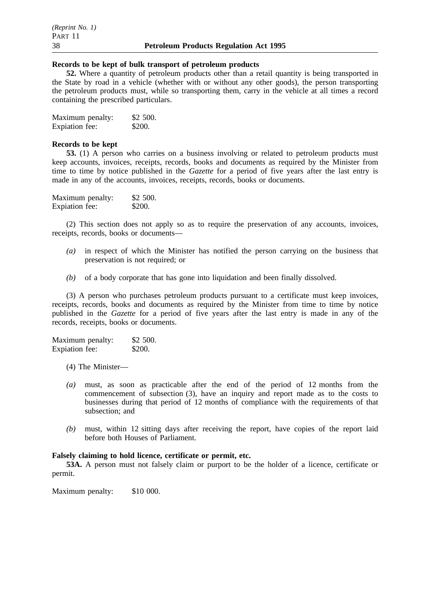#### **Records to be kept of bulk transport of petroleum products**

**52.** Where a quantity of petroleum products other than a retail quantity is being transported in the State by road in a vehicle (whether with or without any other goods), the person transporting the petroleum products must, while so transporting them, carry in the vehicle at all times a record containing the prescribed particulars.

| Maximum penalty: | \$2 500. |
|------------------|----------|
| Expiation fee:   | \$200.   |

#### **Records to be kept**

**53.** (1) A person who carries on a business involving or related to petroleum products must keep accounts, invoices, receipts, records, books and documents as required by the Minister from time to time by notice published in the *Gazette* for a period of five years after the last entry is made in any of the accounts, invoices, receipts, records, books or documents.

| Maximum penalty: | \$2,500. |
|------------------|----------|
| Expiation fee:   | \$200.   |

(2) This section does not apply so as to require the preservation of any accounts, invoices, receipts, records, books or documents—

- *(a)* in respect of which the Minister has notified the person carrying on the business that preservation is not required; or
- *(b)* of a body corporate that has gone into liquidation and been finally dissolved.

(3) A person who purchases petroleum products pursuant to a certificate must keep invoices, receipts, records, books and documents as required by the Minister from time to time by notice published in the *Gazette* for a period of five years after the last entry is made in any of the records, receipts, books or documents.

| Maximum penalty: | \$2 500. |
|------------------|----------|
| Expiation fee:   | \$200.   |

- (4) The Minister—
- *(a)* must, as soon as practicable after the end of the period of 12 months from the commencement of subsection (3), have an inquiry and report made as to the costs to businesses during that period of 12 months of compliance with the requirements of that subsection; and
- *(b)* must, within 12 sitting days after receiving the report, have copies of the report laid before both Houses of Parliament.

# **Falsely claiming to hold licence, certificate or permit, etc.**

**53A.** A person must not falsely claim or purport to be the holder of a licence, certificate or permit.

Maximum penalty: \$10 000.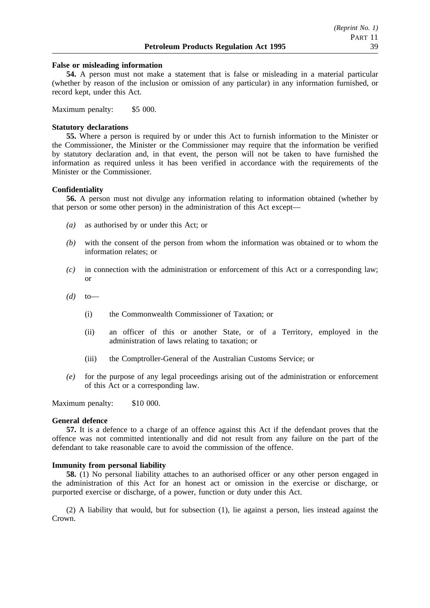#### **False or misleading information**

**54.** A person must not make a statement that is false or misleading in a material particular (whether by reason of the inclusion or omission of any particular) in any information furnished, or record kept, under this Act.

Maximum penalty: \$5 000.

#### **Statutory declarations**

**55.** Where a person is required by or under this Act to furnish information to the Minister or the Commissioner, the Minister or the Commissioner may require that the information be verified by statutory declaration and, in that event, the person will not be taken to have furnished the information as required unless it has been verified in accordance with the requirements of the Minister or the Commissioner.

#### **Confidentiality**

**56.** A person must not divulge any information relating to information obtained (whether by that person or some other person) in the administration of this Act except—

- *(a)* as authorised by or under this Act; or
- *(b)* with the consent of the person from whom the information was obtained or to whom the information relates; or
- *(c)* in connection with the administration or enforcement of this Act or a corresponding law; or
- *(d)* to—
	- (i) the Commonwealth Commissioner of Taxation; or
	- (ii) an officer of this or another State, or of a Territory, employed in the administration of laws relating to taxation; or
	- (iii) the Comptroller-General of the Australian Customs Service; or
- *(e)* for the purpose of any legal proceedings arising out of the administration or enforcement of this Act or a corresponding law.

Maximum penalty: \$10 000.

#### **General defence**

**57.** It is a defence to a charge of an offence against this Act if the defendant proves that the offence was not committed intentionally and did not result from any failure on the part of the defendant to take reasonable care to avoid the commission of the offence.

#### **Immunity from personal liability**

**58.** (1) No personal liability attaches to an authorised officer or any other person engaged in the administration of this Act for an honest act or omission in the exercise or discharge, or purported exercise or discharge, of a power, function or duty under this Act.

(2) A liability that would, but for subsection (1), lie against a person, lies instead against the Crown.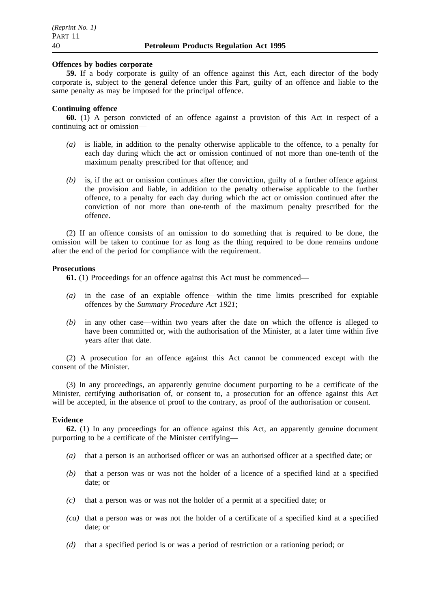#### **Offences by bodies corporate**

**59.** If a body corporate is guilty of an offence against this Act, each director of the body corporate is, subject to the general defence under this Part, guilty of an offence and liable to the same penalty as may be imposed for the principal offence.

# **Continuing offence**

**60.** (1) A person convicted of an offence against a provision of this Act in respect of a continuing act or omission—

- *(a)* is liable, in addition to the penalty otherwise applicable to the offence, to a penalty for each day during which the act or omission continued of not more than one-tenth of the maximum penalty prescribed for that offence; and
- *(b)* is, if the act or omission continues after the conviction, guilty of a further offence against the provision and liable, in addition to the penalty otherwise applicable to the further offence, to a penalty for each day during which the act or omission continued after the conviction of not more than one-tenth of the maximum penalty prescribed for the offence.

(2) If an offence consists of an omission to do something that is required to be done, the omission will be taken to continue for as long as the thing required to be done remains undone after the end of the period for compliance with the requirement.

#### **Prosecutions**

**61.** (1) Proceedings for an offence against this Act must be commenced—

- *(a)* in the case of an expiable offence—within the time limits prescribed for expiable offences by the *Summary Procedure Act 1921*;
- *(b)* in any other case—within two years after the date on which the offence is alleged to have been committed or, with the authorisation of the Minister, at a later time within five years after that date.

(2) A prosecution for an offence against this Act cannot be commenced except with the consent of the Minister.

(3) In any proceedings, an apparently genuine document purporting to be a certificate of the Minister, certifying authorisation of, or consent to, a prosecution for an offence against this Act will be accepted, in the absence of proof to the contrary, as proof of the authorisation or consent.

#### **Evidence**

**62.** (1) In any proceedings for an offence against this Act, an apparently genuine document purporting to be a certificate of the Minister certifying—

- *(a)* that a person is an authorised officer or was an authorised officer at a specified date; or
- *(b)* that a person was or was not the holder of a licence of a specified kind at a specified date; or
- *(c)* that a person was or was not the holder of a permit at a specified date; or
- *(ca)* that a person was or was not the holder of a certificate of a specified kind at a specified date; or
- *(d)* that a specified period is or was a period of restriction or a rationing period; or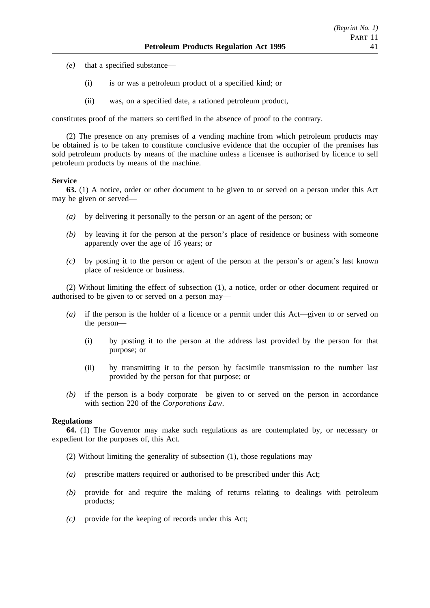- *(e)* that a specified substance—
	- (i) is or was a petroleum product of a specified kind; or
	- (ii) was, on a specified date, a rationed petroleum product,

constitutes proof of the matters so certified in the absence of proof to the contrary.

(2) The presence on any premises of a vending machine from which petroleum products may be obtained is to be taken to constitute conclusive evidence that the occupier of the premises has sold petroleum products by means of the machine unless a licensee is authorised by licence to sell petroleum products by means of the machine.

#### **Service**

**63.** (1) A notice, order or other document to be given to or served on a person under this Act may be given or served—

- *(a)* by delivering it personally to the person or an agent of the person; or
- *(b)* by leaving it for the person at the person's place of residence or business with someone apparently over the age of 16 years; or
- *(c)* by posting it to the person or agent of the person at the person's or agent's last known place of residence or business.

(2) Without limiting the effect of subsection (1), a notice, order or other document required or authorised to be given to or served on a person may—

- *(a)* if the person is the holder of a licence or a permit under this Act—given to or served on the person—
	- (i) by posting it to the person at the address last provided by the person for that purpose; or
	- (ii) by transmitting it to the person by facsimile transmission to the number last provided by the person for that purpose; or
- *(b)* if the person is a body corporate—be given to or served on the person in accordance with section 220 of the *Corporations Law*.

### **Regulations**

**64.** (1) The Governor may make such regulations as are contemplated by, or necessary or expedient for the purposes of, this Act.

- (2) Without limiting the generality of subsection (1), those regulations may—
- *(a)* prescribe matters required or authorised to be prescribed under this Act;
- *(b)* provide for and require the making of returns relating to dealings with petroleum products;
- *(c)* provide for the keeping of records under this Act;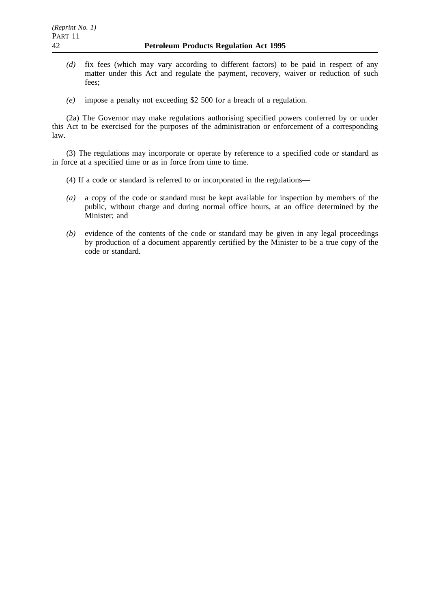- *(d)* fix fees (which may vary according to different factors) to be paid in respect of any matter under this Act and regulate the payment, recovery, waiver or reduction of such fees;
- *(e)* impose a penalty not exceeding \$2 500 for a breach of a regulation.

(2a) The Governor may make regulations authorising specified powers conferred by or under this Act to be exercised for the purposes of the administration or enforcement of a corresponding law.

(3) The regulations may incorporate or operate by reference to a specified code or standard as in force at a specified time or as in force from time to time.

- (4) If a code or standard is referred to or incorporated in the regulations—
- *(a)* a copy of the code or standard must be kept available for inspection by members of the public, without charge and during normal office hours, at an office determined by the Minister; and
- *(b)* evidence of the contents of the code or standard may be given in any legal proceedings by production of a document apparently certified by the Minister to be a true copy of the code or standard.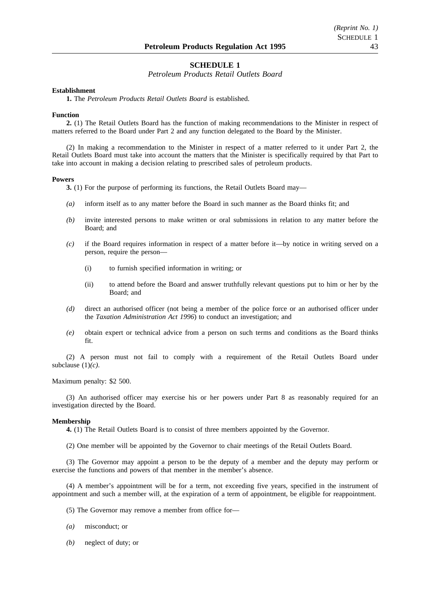#### **SCHEDULE 1**

*Petroleum Products Retail Outlets Board*

#### **Establishment**

**1.** The *Petroleum Products Retail Outlets Board* is established.

#### **Function**

**2.** (1) The Retail Outlets Board has the function of making recommendations to the Minister in respect of matters referred to the Board under Part 2 and any function delegated to the Board by the Minister.

(2) In making a recommendation to the Minister in respect of a matter referred to it under Part 2, the Retail Outlets Board must take into account the matters that the Minister is specifically required by that Part to take into account in making a decision relating to prescribed sales of petroleum products.

#### **Powers**

**3.** (1) For the purpose of performing its functions, the Retail Outlets Board may—

- *(a)* inform itself as to any matter before the Board in such manner as the Board thinks fit; and
- *(b)* invite interested persons to make written or oral submissions in relation to any matter before the Board; and
- *(c)* if the Board requires information in respect of a matter before it—by notice in writing served on a person, require the person—
	- (i) to furnish specified information in writing; or
	- (ii) to attend before the Board and answer truthfully relevant questions put to him or her by the Board; and
- *(d)* direct an authorised officer (not being a member of the police force or an authorised officer under the *Taxation Administration Act 1996*) to conduct an investigation; and
- *(e)* obtain expert or technical advice from a person on such terms and conditions as the Board thinks fit.

(2) A person must not fail to comply with a requirement of the Retail Outlets Board under subclause (1)*(c)*.

Maximum penalty: \$2 500.

(3) An authorised officer may exercise his or her powers under Part 8 as reasonably required for an investigation directed by the Board.

#### **Membership**

**4.** (1) The Retail Outlets Board is to consist of three members appointed by the Governor.

(2) One member will be appointed by the Governor to chair meetings of the Retail Outlets Board.

(3) The Governor may appoint a person to be the deputy of a member and the deputy may perform or exercise the functions and powers of that member in the member's absence.

(4) A member's appointment will be for a term, not exceeding five years, specified in the instrument of appointment and such a member will, at the expiration of a term of appointment, be eligible for reappointment.

(5) The Governor may remove a member from office for—

- *(a)* misconduct; or
- *(b)* neglect of duty; or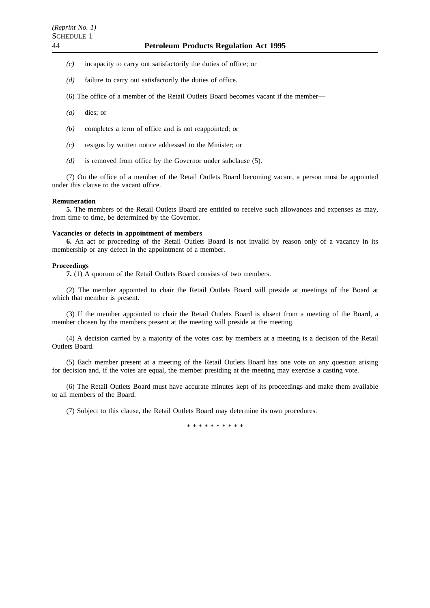- *(c)* incapacity to carry out satisfactorily the duties of office; or
- *(d)* failure to carry out satisfactorily the duties of office.
- (6) The office of a member of the Retail Outlets Board becomes vacant if the member—
- *(a)* dies; or
- *(b)* completes a term of office and is not reappointed; or
- *(c)* resigns by written notice addressed to the Minister; or
- *(d)* is removed from office by the Governor under subclause (5).

(7) On the office of a member of the Retail Outlets Board becoming vacant, a person must be appointed under this clause to the vacant office.

#### **Remuneration**

**5.** The members of the Retail Outlets Board are entitled to receive such allowances and expenses as may, from time to time, be determined by the Governor.

#### **Vacancies or defects in appointment of members**

**6.** An act or proceeding of the Retail Outlets Board is not invalid by reason only of a vacancy in its membership or any defect in the appointment of a member.

#### **Proceedings**

**7.** (1) A quorum of the Retail Outlets Board consists of two members.

(2) The member appointed to chair the Retail Outlets Board will preside at meetings of the Board at which that member is present.

(3) If the member appointed to chair the Retail Outlets Board is absent from a meeting of the Board, a member chosen by the members present at the meeting will preside at the meeting.

(4) A decision carried by a majority of the votes cast by members at a meeting is a decision of the Retail Outlets Board.

(5) Each member present at a meeting of the Retail Outlets Board has one vote on any question arising for decision and, if the votes are equal, the member presiding at the meeting may exercise a casting vote.

(6) The Retail Outlets Board must have accurate minutes kept of its proceedings and make them available to all members of the Board.

(7) Subject to this clause, the Retail Outlets Board may determine its own procedures.

\*\*\*\*\*\*\*\*\*\*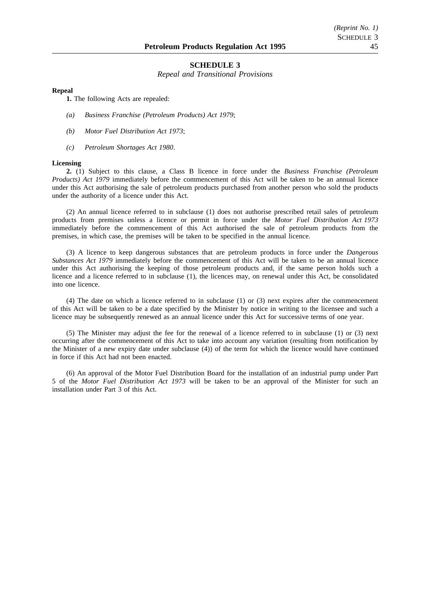#### **SCHEDULE 3**

*Repeal and Transitional Provisions*

#### **Repeal**

**1.** The following Acts are repealed:

- *(a) Business Franchise (Petroleum Products) Act 1979*;
- *(b) Motor Fuel Distribution Act 1973*;
- *(c) Petroleum Shortages Act 1980*.

#### **Licensing**

**2.** (1) Subject to this clause, a Class B licence in force under the *Business Franchise (Petroleum Products) Act 1979* immediately before the commencement of this Act will be taken to be an annual licence under this Act authorising the sale of petroleum products purchased from another person who sold the products under the authority of a licence under this Act.

(2) An annual licence referred to in subclause (1) does not authorise prescribed retail sales of petroleum products from premises unless a licence or permit in force under the *Motor Fuel Distribution Act 1973* immediately before the commencement of this Act authorised the sale of petroleum products from the premises, in which case, the premises will be taken to be specified in the annual licence.

(3) A licence to keep dangerous substances that are petroleum products in force under the *Dangerous Substances Act 1979* immediately before the commencement of this Act will be taken to be an annual licence under this Act authorising the keeping of those petroleum products and, if the same person holds such a licence and a licence referred to in subclause (1), the licences may, on renewal under this Act, be consolidated into one licence.

(4) The date on which a licence referred to in subclause (1) or (3) next expires after the commencement of this Act will be taken to be a date specified by the Minister by notice in writing to the licensee and such a licence may be subsequently renewed as an annual licence under this Act for successive terms of one year.

(5) The Minister may adjust the fee for the renewal of a licence referred to in subclause (1) or (3) next occurring after the commencement of this Act to take into account any variation (resulting from notification by the Minister of a new expiry date under subclause (4)) of the term for which the licence would have continued in force if this Act had not been enacted.

(6) An approval of the Motor Fuel Distribution Board for the installation of an industrial pump under Part 5 of the *Motor Fuel Distribution Act 1973* will be taken to be an approval of the Minister for such an installation under Part 3 of this Act.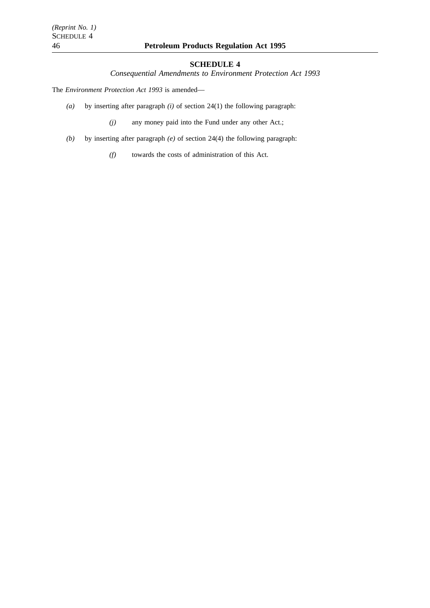# **SCHEDULE 4**

*Consequential Amendments to Environment Protection Act 1993*

The *Environment Protection Act 1993* is amended—

*(a)* by inserting after paragraph *(i)* of section 24(1) the following paragraph:

*(j)* any money paid into the Fund under any other Act.;

*(b)* by inserting after paragraph *(e)* of section 24(4) the following paragraph:

*(f)* towards the costs of administration of this Act.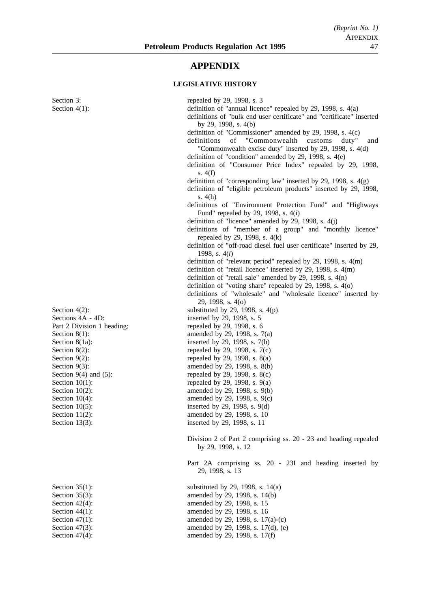# **APPENDIX**

# **LEGISLATIVE HISTORY**

| Section 3:                 | repealed by 29, 1998, s. 3                                                             |
|----------------------------|----------------------------------------------------------------------------------------|
| Section $4(1)$ :           | definition of "annual licence" repealed by $29$ , 1998, s. $4(a)$                      |
|                            | definitions of "bulk end user certificate" and "certificate" inserted                  |
|                            | by 29, 1998, s. 4(b)<br>definition of "Commissioner" amended by 29, 1998, s. 4(c)      |
|                            | of<br>"Commonwealth<br>definitions<br>customs<br>duty"<br>and                          |
|                            | "Commonwealth excise duty" inserted by 29, 1998, s. 4(d)                               |
|                            | definition of "condition" amended by 29, 1998, s. 4(e)                                 |
|                            | definition of "Consumer Price Index" repealed by 29, 1998,                             |
|                            | s. $4(f)$                                                                              |
|                            | definition of "corresponding law" inserted by 29, 1998, s. $4(g)$                      |
|                            | definition of "eligible petroleum products" inserted by 29, 1998,                      |
|                            | s. $4(h)$                                                                              |
|                            | definitions of "Environment Protection Fund" and "Highways                             |
|                            | Fund" repealed by 29, 1998, s. 4(i)                                                    |
|                            | definition of "licence" amended by 29, 1998, s. $4(j)$                                 |
|                            | definitions of "member of a group" and "monthly licence"                               |
|                            | repealed by 29, 1998, s. $4(k)$                                                        |
|                            | definition of "off-road diesel fuel user certificate" inserted by 29,                  |
|                            | 1998, s. $4(l)$                                                                        |
|                            | definition of "relevant period" repealed by $29$ , $1998$ , s. $4(m)$                  |
|                            | definition of "retail licence" inserted by 29, 1998, s. 4(m)                           |
|                            | definition of "retail sale" amended by 29, 1998, s. $4(n)$                             |
|                            | definition of "voting share" repealed by $29$ , $1998$ , s. $4(0)$                     |
|                            | definitions of "wholesale" and "wholesale licence" inserted by                         |
| Section $4(2)$ :           | 29, 1998, s. 4(o)                                                                      |
| Sections 4A - 4D:          | substituted by 29, 1998, s. $4(p)$<br>inserted by 29, 1998, s. 5                       |
| Part 2 Division 1 heading: | repealed by 29, 1998, s. 6                                                             |
| Section $8(1)$ :           | amended by 29, 1998, s. 7(a)                                                           |
| Section 8(1a):             | inserted by 29, 1998, s. 7(b)                                                          |
| Section $8(2)$ :           | repealed by 29, 1998, s. 7(c)                                                          |
| Section $9(2)$ :           | repealed by 29, 1998, s. 8(a)                                                          |
| Section $9(3)$ :           | amended by 29, 1998, s. 8(b)                                                           |
| Section $9(4)$ and $(5)$ : | repealed by 29, 1998, s. 8(c)                                                          |
| Section $10(1)$ :          | repealed by 29, 1998, s. $9(a)$                                                        |
| Section $10(2)$ :          | amended by 29, 1998, s. 9(b)                                                           |
| Section $10(4)$ :          | amended by 29, 1998, s. 9(c)                                                           |
| Section $10(5)$ :          | inserted by 29, 1998, s. 9(d)                                                          |
| Section $11(2)$ :          | amended by 29, 1998, s. 10                                                             |
| Section $13(3)$ :          | inserted by 29, 1998, s. 11                                                            |
|                            |                                                                                        |
|                            | Division 2 of Part 2 comprising ss. 20 - 23 and heading repealed<br>by 29, 1998, s. 12 |
|                            |                                                                                        |
|                            | Part 2A comprising ss. 20 - 23I and heading inserted by                                |
|                            | 29, 1998, s. 13                                                                        |
| Section $35(1)$ :          | substituted by 29, 1998, s. $14(a)$                                                    |
| Section $35(3)$ :          | amended by 29, 1998, s. 14(b)                                                          |
| Section $42(4)$ :          | amended by 29, 1998, s. 15                                                             |
| Section $44(1)$ :          | amended by 29, 1998, s. 16                                                             |
| Section $47(1)$ :          | amended by 29, 1998, s. 17(a)-(c)                                                      |
| Section $47(3)$ :          | amended by 29, 1998, s. 17(d), (e)                                                     |
| Section $47(4)$ :          | amended by 29, 1998, s. 17(f)                                                          |
|                            |                                                                                        |
|                            |                                                                                        |